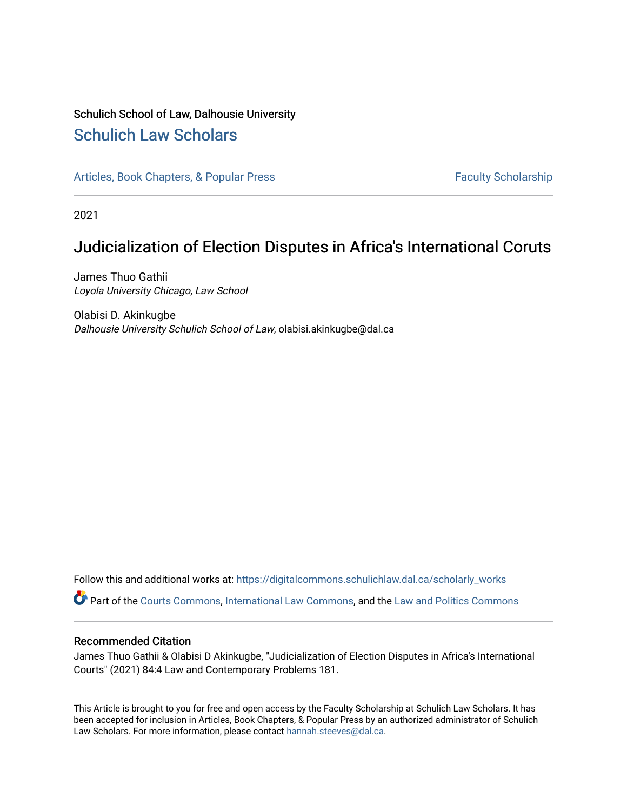## Schulich School of Law, Dalhousie University [Schulich Law Scholars](https://digitalcommons.schulichlaw.dal.ca/)

[Articles, Book Chapters, & Popular Press](https://digitalcommons.schulichlaw.dal.ca/scholarly_works) Faculty Scholarship

2021

# Judicialization of Election Disputes in Africa's International Coruts

James Thuo Gathii Loyola University Chicago, Law School

Olabisi D. Akinkugbe Dalhousie University Schulich School of Law, olabisi.akinkugbe@dal.ca

Follow this and additional works at: [https://digitalcommons.schulichlaw.dal.ca/scholarly\\_works](https://digitalcommons.schulichlaw.dal.ca/scholarly_works?utm_source=digitalcommons.schulichlaw.dal.ca%2Fscholarly_works%2F743&utm_medium=PDF&utm_campaign=PDFCoverPages) 

Part of the [Courts Commons,](http://network.bepress.com/hgg/discipline/839?utm_source=digitalcommons.schulichlaw.dal.ca%2Fscholarly_works%2F743&utm_medium=PDF&utm_campaign=PDFCoverPages) [International Law Commons](http://network.bepress.com/hgg/discipline/609?utm_source=digitalcommons.schulichlaw.dal.ca%2Fscholarly_works%2F743&utm_medium=PDF&utm_campaign=PDFCoverPages), and the [Law and Politics Commons](http://network.bepress.com/hgg/discipline/867?utm_source=digitalcommons.schulichlaw.dal.ca%2Fscholarly_works%2F743&utm_medium=PDF&utm_campaign=PDFCoverPages) 

## Recommended Citation

James Thuo Gathii & Olabisi D Akinkugbe, "Judicialization of Election Disputes in Africa's International Courts" (2021) 84:4 Law and Contemporary Problems 181.

This Article is brought to you for free and open access by the Faculty Scholarship at Schulich Law Scholars. It has been accepted for inclusion in Articles, Book Chapters, & Popular Press by an authorized administrator of Schulich Law Scholars. For more information, please contact [hannah.steeves@dal.ca.](mailto:hannah.steeves@dal.ca)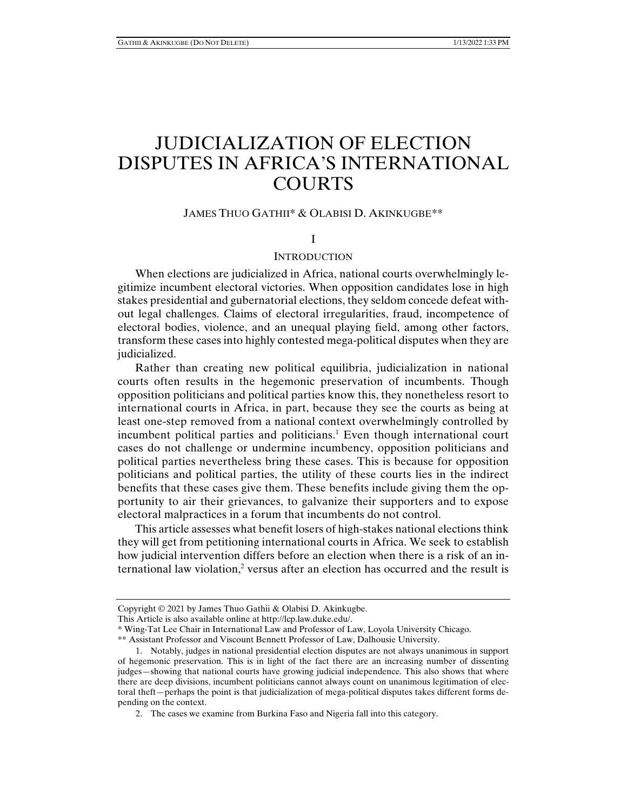# JUDICIALIZATION OF ELECTION DISPUTES IN AFRICA'S INTERNATIONAL **COURTS**

## JAMES THUO GATHII\* & OLABISI D. AKINKUGBE\*\*

I

### **INTRODUCTION**

When elections are judicialized in Africa, national courts overwhelmingly legitimize incumbent electoral victories. When opposition candidates lose in high stakes presidential and gubernatorial elections, they seldom concede defeat without legal challenges. Claims of electoral irregularities, fraud, incompetence of electoral bodies, violence, and an unequal playing field, among other factors, transform these cases into highly contested mega-political disputes when they are judicialized.

Rather than creating new political equilibria, judicialization in national courts often results in the hegemonic preservation of incumbents. Though opposition politicians and political parties know this, they nonetheless resort to international courts in Africa, in part, because they see the courts as being at least one-step removed from a national context overwhelmingly controlled by incumbent political parties and politicians.<sup>1</sup> Even though international court cases do not challenge or undermine incumbency, opposition politicians and political parties nevertheless bring these cases. This is because for opposition politicians and political parties, the utility of these courts lies in the indirect benefits that these cases give them. These benefits include giving them the opportunity to air their grievances, to galvanize their supporters and to expose electoral malpractices in a forum that incumbents do not control.

This article assesses what benefit losers of high-stakes national elections think they will get from petitioning international courts in Africa. We seek to establish how judicial intervention differs before an election when there is a risk of an international law violation,<sup>2</sup> versus after an election has occurred and the result is

Copyright © 2021 by James Thuo Gathii & Olabisi D. Akinkugbe.

This Article is also available online at http://lcp.law.duke.edu/.

<sup>\*</sup> Wing-Tat Lee Chair in International Law and Professor of Law, Loyola University Chicago.

<sup>\*\*</sup> Assistant Professor and Viscount Bennett Professor of Law, Dalhousie University.

 <sup>1.</sup> Notably, judges in national presidential election disputes are not always unanimous in support of hegemonic preservation. This is in light of the fact there are an increasing number of dissenting judges—showing that national courts have growing judicial independence. This also shows that where there are deep divisions, incumbent politicians cannot always count on unanimous legitimation of electoral theft—perhaps the point is that judicialization of mega-political disputes takes different forms depending on the context.

 <sup>2.</sup> The cases we examine from Burkina Faso and Nigeria fall into this category.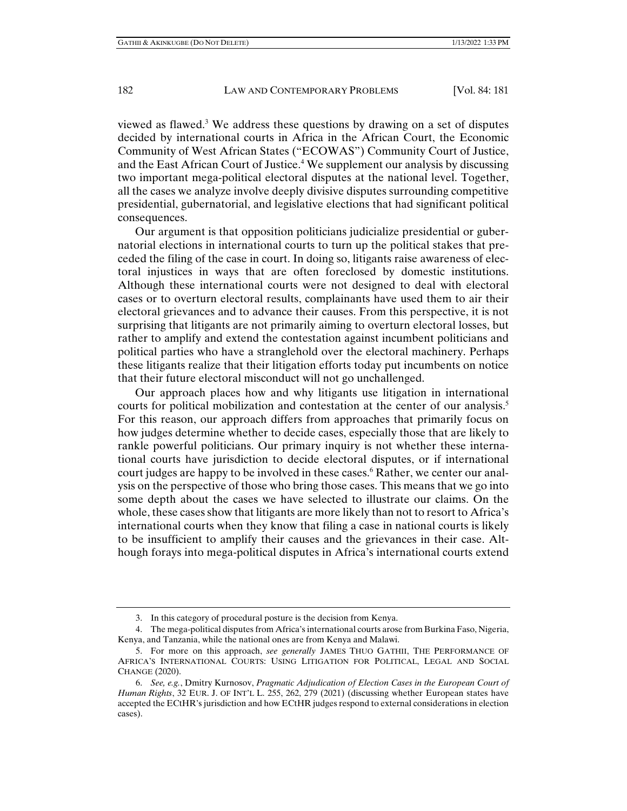viewed as flawed. $3$  We address these questions by drawing on a set of disputes decided by international courts in Africa in the African Court, the Economic Community of West African States ("ECOWAS") Community Court of Justice, and the East African Court of Justice.<sup>4</sup> We supplement our analysis by discussing two important mega-political electoral disputes at the national level. Together, all the cases we analyze involve deeply divisive disputes surrounding competitive presidential, gubernatorial, and legislative elections that had significant political consequences.

Our argument is that opposition politicians judicialize presidential or gubernatorial elections in international courts to turn up the political stakes that preceded the filing of the case in court. In doing so, litigants raise awareness of electoral injustices in ways that are often foreclosed by domestic institutions. Although these international courts were not designed to deal with electoral cases or to overturn electoral results, complainants have used them to air their electoral grievances and to advance their causes. From this perspective, it is not surprising that litigants are not primarily aiming to overturn electoral losses, but rather to amplify and extend the contestation against incumbent politicians and political parties who have a stranglehold over the electoral machinery. Perhaps these litigants realize that their litigation efforts today put incumbents on notice that their future electoral misconduct will not go unchallenged.

Our approach places how and why litigants use litigation in international courts for political mobilization and contestation at the center of our analysis.<sup>5</sup> For this reason, our approach differs from approaches that primarily focus on how judges determine whether to decide cases, especially those that are likely to rankle powerful politicians. Our primary inquiry is not whether these international courts have jurisdiction to decide electoral disputes, or if international court judges are happy to be involved in these cases.<sup>6</sup> Rather, we center our analysis on the perspective of those who bring those cases. This means that we go into some depth about the cases we have selected to illustrate our claims. On the whole, these cases show that litigants are more likely than not to resort to Africa's international courts when they know that filing a case in national courts is likely to be insufficient to amplify their causes and the grievances in their case. Although forays into mega-political disputes in Africa's international courts extend

 <sup>3.</sup> In this category of procedural posture is the decision from Kenya.

 <sup>4.</sup> The mega-political disputes from Africa's international courts arose from Burkina Faso, Nigeria, Kenya, and Tanzania, while the national ones are from Kenya and Malawi.

 <sup>5.</sup> For more on this approach, *see generally* JAMES THUO GATHII, THE PERFORMANCE OF AFRICA'S INTERNATIONAL COURTS: USING LITIGATION FOR POLITICAL, LEGAL AND SOCIAL CHANGE (2020).

 <sup>6.</sup> *See, e.g.*, Dmitry Kurnosov, *Pragmatic Adjudication of Election Cases in the European Court of Human Rights*, 32 EUR. J. OF INT'L L. 255, 262, 279 (2021) (discussing whether European states have accepted the ECtHR's jurisdiction and how ECtHR judges respond to external considerations in election cases).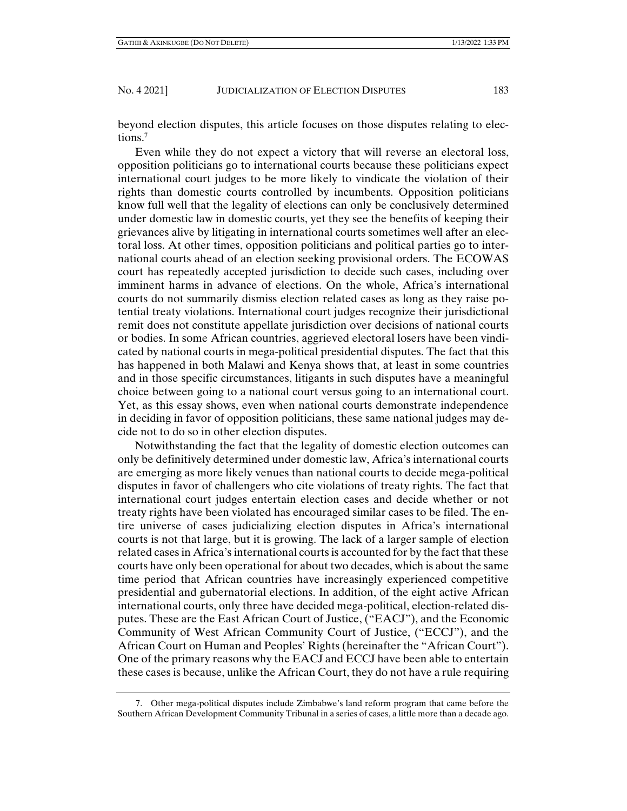beyond election disputes, this article focuses on those disputes relating to elections.7

Even while they do not expect a victory that will reverse an electoral loss, opposition politicians go to international courts because these politicians expect international court judges to be more likely to vindicate the violation of their rights than domestic courts controlled by incumbents. Opposition politicians know full well that the legality of elections can only be conclusively determined under domestic law in domestic courts, yet they see the benefits of keeping their grievances alive by litigating in international courts sometimes well after an electoral loss. At other times, opposition politicians and political parties go to international courts ahead of an election seeking provisional orders. The ECOWAS court has repeatedly accepted jurisdiction to decide such cases, including over imminent harms in advance of elections. On the whole, Africa's international courts do not summarily dismiss election related cases as long as they raise potential treaty violations. International court judges recognize their jurisdictional remit does not constitute appellate jurisdiction over decisions of national courts or bodies. In some African countries, aggrieved electoral losers have been vindicated by national courts in mega-political presidential disputes. The fact that this has happened in both Malawi and Kenya shows that, at least in some countries and in those specific circumstances, litigants in such disputes have a meaningful choice between going to a national court versus going to an international court. Yet, as this essay shows, even when national courts demonstrate independence in deciding in favor of opposition politicians, these same national judges may decide not to do so in other election disputes.

Notwithstanding the fact that the legality of domestic election outcomes can only be definitively determined under domestic law, Africa's international courts are emerging as more likely venues than national courts to decide mega-political disputes in favor of challengers who cite violations of treaty rights. The fact that international court judges entertain election cases and decide whether or not treaty rights have been violated has encouraged similar cases to be filed. The entire universe of cases judicializing election disputes in Africa's international courts is not that large, but it is growing. The lack of a larger sample of election related cases in Africa's international courts is accounted for by the fact that these courts have only been operational for about two decades, which is about the same time period that African countries have increasingly experienced competitive presidential and gubernatorial elections. In addition, of the eight active African international courts, only three have decided mega-political, election-related disputes. These are the East African Court of Justice, ("EACJ"), and the Economic Community of West African Community Court of Justice, ("ECCJ"), and the African Court on Human and Peoples' Rights (hereinafter the "African Court"). One of the primary reasons why the EACJ and ECCJ have been able to entertain these cases is because, unlike the African Court, they do not have a rule requiring

 <sup>7.</sup> Other mega-political disputes include Zimbabwe's land reform program that came before the Southern African Development Community Tribunal in a series of cases, a little more than a decade ago.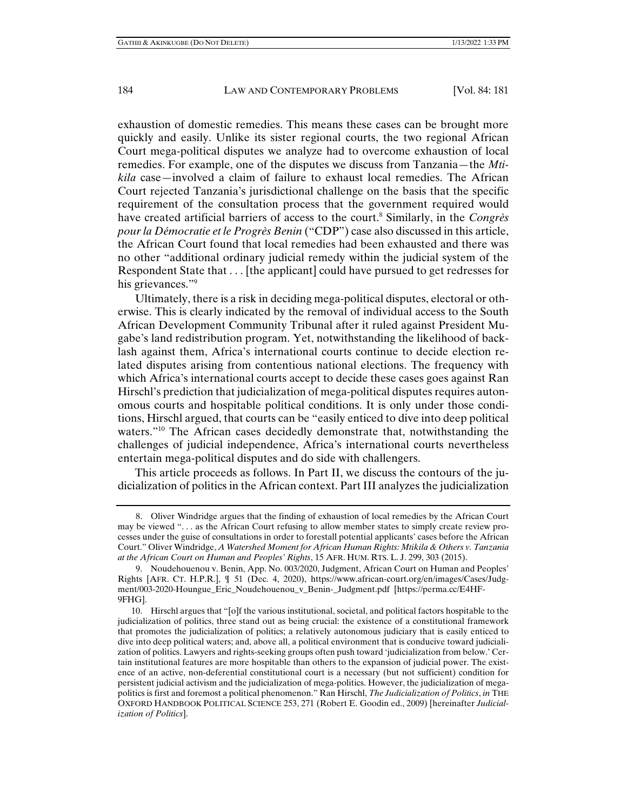exhaustion of domestic remedies. This means these cases can be brought more quickly and easily. Unlike its sister regional courts, the two regional African Court mega-political disputes we analyze had to overcome exhaustion of local remedies. For example, one of the disputes we discuss from Tanzania—the *Mtikila* case—involved a claim of failure to exhaust local remedies. The African Court rejected Tanzania's jurisdictional challenge on the basis that the specific requirement of the consultation process that the government required would have created artificial barriers of access to the court.8 Similarly, in the *Congrès pour la Démocratie et le Progrès Benin* ("CDP") case also discussed in this article, the African Court found that local remedies had been exhausted and there was no other "additional ordinary judicial remedy within the judicial system of the Respondent State that . . . [the applicant] could have pursued to get redresses for his grievances."<sup>9</sup>

Ultimately, there is a risk in deciding mega-political disputes, electoral or otherwise. This is clearly indicated by the removal of individual access to the South African Development Community Tribunal after it ruled against President Mugabe's land redistribution program. Yet, notwithstanding the likelihood of backlash against them, Africa's international courts continue to decide election related disputes arising from contentious national elections. The frequency with which Africa's international courts accept to decide these cases goes against Ran Hirschl's prediction that judicialization of mega-political disputes requires autonomous courts and hospitable political conditions. It is only under those conditions, Hirschl argued, that courts can be "easily enticed to dive into deep political waters."<sup>10</sup> The African cases decidedly demonstrate that, notwithstanding the challenges of judicial independence, Africa's international courts nevertheless entertain mega-political disputes and do side with challengers.

This article proceeds as follows. In Part II, we discuss the contours of the judicialization of politics in the African context. Part III analyzes the judicialization

 <sup>8.</sup> Oliver Windridge argues that the finding of exhaustion of local remedies by the African Court may be viewed ". . . as the African Court refusing to allow member states to simply create review processes under the guise of consultations in order to forestall potential applicants' cases before the African Court." Oliver Windridge, *A Watershed Moment for African Human Rights: Mtikila & Others v. Tanzania at the African Court on Human and Peoples' Rights*, 15 AFR. HUM. RTS. L. J. 299, 303 (2015).

 <sup>9.</sup> Noudehouenou v. Benin, App. No. 003/2020, Judgment, African Court on Human and Peoples' Rights [AFR. CT. H.P.R.], ¶ 51 (Dec. 4, 2020), https://www.african-court.org/en/images/Cases/Judgment/003-2020-Houngue\_Eric\_Noudehouenou\_v\_Benin-\_Judgment.pdf [https://perma.cc/E4HF-9FHG].

 <sup>10.</sup> Hirschl argues that "[o]f the various institutional, societal, and political factors hospitable to the judicialization of politics, three stand out as being crucial: the existence of a constitutional framework that promotes the judicialization of politics; a relatively autonomous judiciary that is easily enticed to dive into deep political waters; and, above all, a political environment that is conducive toward judicialization of politics. Lawyers and rights-seeking groups often push toward 'judicialization from below.' Certain institutional features are more hospitable than others to the expansion of judicial power. The existence of an active, non-deferential constitutional court is a necessary (but not sufficient) condition for persistent judicial activism and the judicialization of mega-politics. However, the judicialization of megapolitics is first and foremost a political phenomenon." Ran Hirschl, *The Judicialization of Politics*, *in* THE OXFORD HANDBOOK POLITICAL SCIENCE 253, 271 (Robert E. Goodin ed., 2009) [hereinafter *Judicialization of Politics*].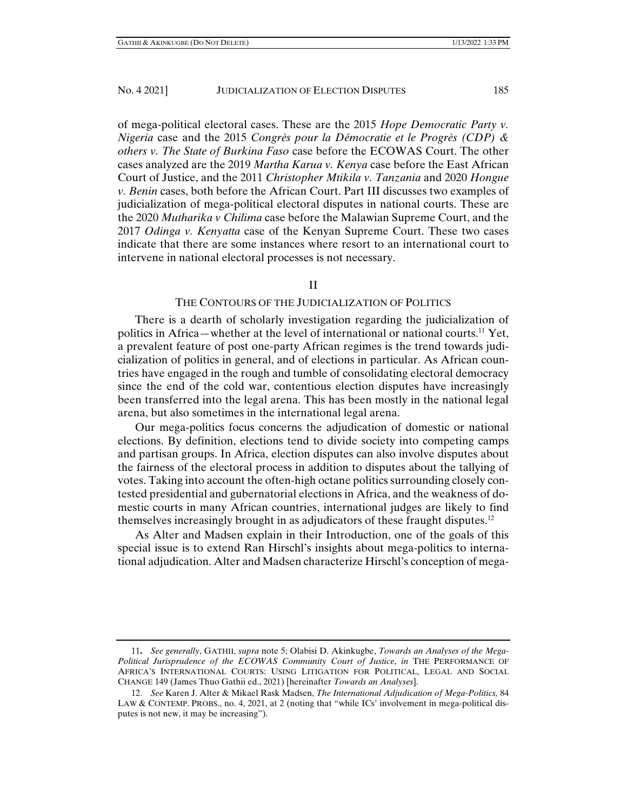of mega-political electoral cases. These are the 2015 *Hope Democratic Party v. Nigeria* case and the 2015 *Congrès pour la Démocratie et le Progrès (CDP) & others v. The State of Burkina Faso* case before the ECOWAS Court. The other cases analyzed are the 2019 *Martha Karua v. Kenya* case before the East African Court of Justice, and the 2011 *Christopher Mtikila v. Tanzania* and 2020 *Hongue v. Benin* cases, both before the African Court. Part III discusses two examples of judicialization of mega-political electoral disputes in national courts. These are the 2020 *Mutharika v Chilima* case before the Malawian Supreme Court, and the 2017 *Odinga v. Kenyatta* case of the Kenyan Supreme Court. These two cases indicate that there are some instances where resort to an international court to intervene in national electoral processes is not necessary.

## II

## THE CONTOURS OF THE JUDICIALIZATION OF POLITICS

There is a dearth of scholarly investigation regarding the judicialization of politics in Africa—whether at the level of international or national courts.11 Yet, a prevalent feature of post one-party African regimes is the trend towards judicialization of politics in general, and of elections in particular. As African countries have engaged in the rough and tumble of consolidating electoral democracy since the end of the cold war, contentious election disputes have increasingly been transferred into the legal arena. This has been mostly in the national legal arena, but also sometimes in the international legal arena.

Our mega-politics focus concerns the adjudication of domestic or national elections. By definition, elections tend to divide society into competing camps and partisan groups. In Africa, election disputes can also involve disputes about the fairness of the electoral process in addition to disputes about the tallying of votes. Taking into account the often-high octane politics surrounding closely contested presidential and gubernatorial elections in Africa, and the weakness of domestic courts in many African countries, international judges are likely to find themselves increasingly brought in as adjudicators of these fraught disputes.12

As Alter and Madsen explain in their Introduction, one of the goals of this special issue is to extend Ran Hirschl's insights about mega-politics to international adjudication. Alter and Madsen characterize Hirschl's conception of mega-

<sup>11</sup>**.** *See generally*, GATHII, *supra* note 5; Olabisi D. Akinkugbe, *Towards an Analyses of the Mega-Political Jurisprudence of the ECOWAS Community Court of Justice*, *in* THE PERFORMANCE OF AFRICA'S INTERNATIONAL COURTS: USING LITIGATION FOR POLITICAL, LEGAL AND SOCIAL CHANGE 149 (James Thuo Gathii ed., 2021) [hereinafter *Towards an Analyses*].

 <sup>12.</sup> *See* Karen J. Alter & Mikael Rask Madsen, *The International Adjudication of Mega-Politics,* 84 LAW & CONTEMP. PROBS., no. 4, 2021, at 2 (noting that "while ICs' involvement in mega-political disputes is not new, it may be increasing").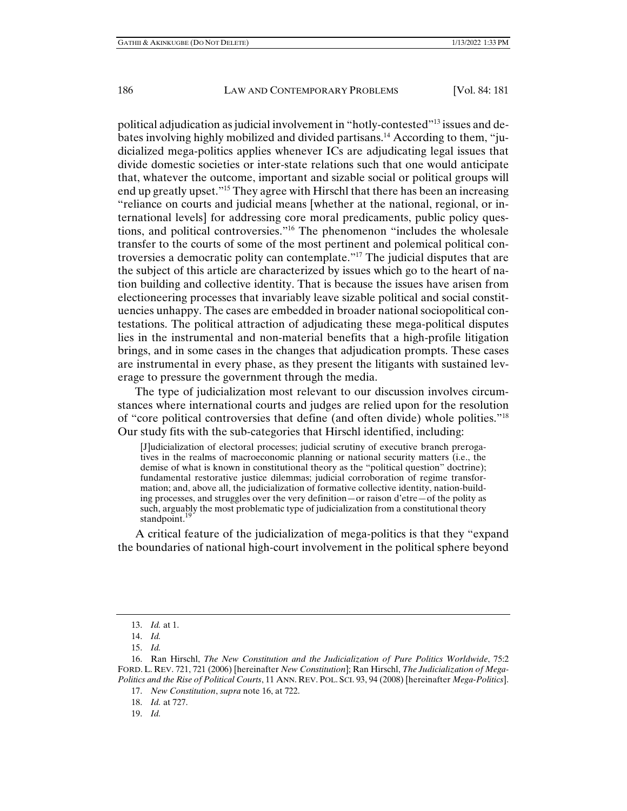political adjudication as judicial involvement in "hotly-contested"13 issues and debates involving highly mobilized and divided partisans.<sup>14</sup> According to them, "judicialized mega-politics applies whenever ICs are adjudicating legal issues that divide domestic societies or inter-state relations such that one would anticipate that, whatever the outcome, important and sizable social or political groups will end up greatly upset."15 They agree with Hirschl that there has been an increasing "reliance on courts and judicial means [whether at the national, regional, or international levels] for addressing core moral predicaments, public policy questions, and political controversies."16 The phenomenon "includes the wholesale transfer to the courts of some of the most pertinent and polemical political controversies a democratic polity can contemplate."17 The judicial disputes that are the subject of this article are characterized by issues which go to the heart of nation building and collective identity. That is because the issues have arisen from electioneering processes that invariably leave sizable political and social constituencies unhappy. The cases are embedded in broader national sociopolitical contestations. The political attraction of adjudicating these mega-political disputes lies in the instrumental and non-material benefits that a high-profile litigation brings, and in some cases in the changes that adjudication prompts. These cases are instrumental in every phase, as they present the litigants with sustained leverage to pressure the government through the media.

The type of judicialization most relevant to our discussion involves circumstances where international courts and judges are relied upon for the resolution of "core political controversies that define (and often divide) whole polities."18 Our study fits with the sub-categories that Hirschl identified, including:

[J]udicialization of electoral processes; judicial scrutiny of executive branch prerogatives in the realms of macroeconomic planning or national security matters (i.e., the demise of what is known in constitutional theory as the "political question" doctrine); fundamental restorative justice dilemmas; judicial corroboration of regime transformation; and, above all, the judicialization of formative collective identity, nation-building processes, and struggles over the very definition—or raison d'etre—of the polity as such, arguably the most problematic type of judicialization from a constitutional theory standpoint.<sup>19</sup>

A critical feature of the judicialization of mega-politics is that they "expand the boundaries of national high-court involvement in the political sphere beyond

 <sup>13.</sup> *Id.* at 1.

 <sup>14.</sup> *Id.*

 <sup>15.</sup> *Id.*

 <sup>16.</sup> Ran Hirschl, *The New Constitution and the Judicialization of Pure Politics Worldwide*, 75:2 FORD. L. REV. 721, 721 (2006) [hereinafter *New Constitution*]; Ran Hirschl, *The Judicialization of Mega-Politics and the Rise of Political Courts*, 11 ANN. REV. POL. SCI. 93, 94 (2008) [hereinafter *Mega-Politics*].

 <sup>17.</sup> *New Constitution*, *supra* note 16, at 722.

 <sup>18.</sup> *Id.* at 727.

 <sup>19.</sup> *Id.*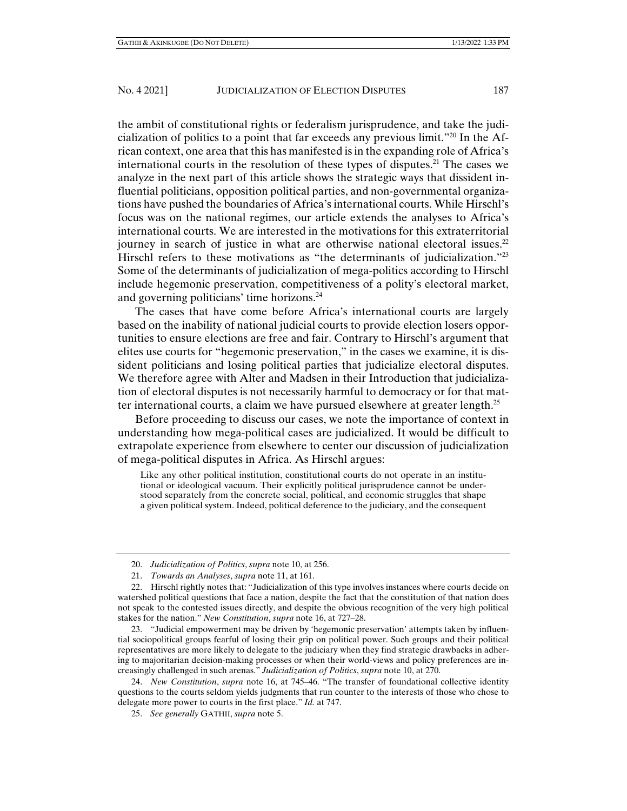the ambit of constitutional rights or federalism jurisprudence, and take the judicialization of politics to a point that far exceeds any previous limit."20 In the African context, one area that this has manifested is in the expanding role of Africa's international courts in the resolution of these types of disputes.<sup>21</sup> The cases we analyze in the next part of this article shows the strategic ways that dissident influential politicians, opposition political parties, and non-governmental organizations have pushed the boundaries of Africa's international courts. While Hirschl's focus was on the national regimes, our article extends the analyses to Africa's international courts. We are interested in the motivations for this extraterritorial journey in search of justice in what are otherwise national electoral issues.<sup>22</sup> Hirschl refers to these motivations as "the determinants of judicialization."<sup>23</sup> Some of the determinants of judicialization of mega-politics according to Hirschl include hegemonic preservation, competitiveness of a polity's electoral market, and governing politicians' time horizons.24

The cases that have come before Africa's international courts are largely based on the inability of national judicial courts to provide election losers opportunities to ensure elections are free and fair. Contrary to Hirschl's argument that elites use courts for "hegemonic preservation," in the cases we examine, it is dissident politicians and losing political parties that judicialize electoral disputes. We therefore agree with Alter and Madsen in their Introduction that judicialization of electoral disputes is not necessarily harmful to democracy or for that matter international courts, a claim we have pursued elsewhere at greater length.<sup>25</sup>

Before proceeding to discuss our cases, we note the importance of context in understanding how mega-political cases are judicialized. It would be difficult to extrapolate experience from elsewhere to center our discussion of judicialization of mega-political disputes in Africa. As Hirschl argues:

Like any other political institution, constitutional courts do not operate in an institutional or ideological vacuum. Their explicitly political jurisprudence cannot be understood separately from the concrete social, political, and economic struggles that shape a given political system. Indeed, political deference to the judiciary, and the consequent

 23. "Judicial empowerment may be driven by 'hegemonic preservation' attempts taken by influential sociopolitical groups fearful of losing their grip on political power. Such groups and their political representatives are more likely to delegate to the judiciary when they find strategic drawbacks in adhering to majoritarian decision-making processes or when their world-views and policy preferences are increasingly challenged in such arenas." *Judicialization of Politics*, *supra* note 10, at 270.

 24. *New Constitution*, *supra* note 16, at 745–46. "The transfer of foundational collective identity questions to the courts seldom yields judgments that run counter to the interests of those who chose to delegate more power to courts in the first place." *Id.* at 747.

 <sup>20.</sup> *Judicialization of Politics*, *supra* note 10, at 256.

 <sup>21.</sup> *Towards an Analyses*, *supra* note 11, at 161.

 <sup>22.</sup> Hirschl rightly notes that: "Judicialization of this type involves instances where courts decide on watershed political questions that face a nation, despite the fact that the constitution of that nation does not speak to the contested issues directly, and despite the obvious recognition of the very high political stakes for the nation." *New Constitution*, *supra* note 16, at 727–28.

 <sup>25.</sup> *See generally* GATHII, *supra* note 5.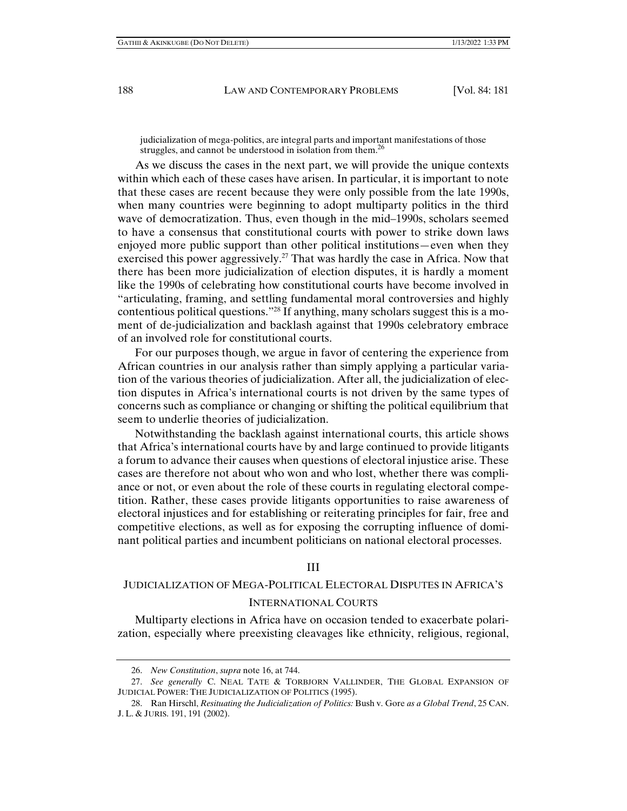judicialization of mega-politics, are integral parts and important manifestations of those struggles, and cannot be understood in isolation from them.<sup>26</sup>

As we discuss the cases in the next part, we will provide the unique contexts within which each of these cases have arisen. In particular, it is important to note that these cases are recent because they were only possible from the late 1990s, when many countries were beginning to adopt multiparty politics in the third wave of democratization. Thus, even though in the mid–1990s, scholars seemed to have a consensus that constitutional courts with power to strike down laws enjoyed more public support than other political institutions—even when they exercised this power aggressively.<sup>27</sup> That was hardly the case in Africa. Now that there has been more judicialization of election disputes, it is hardly a moment like the 1990s of celebrating how constitutional courts have become involved in "articulating, framing, and settling fundamental moral controversies and highly contentious political questions."28 If anything, many scholars suggest this is a moment of de-judicialization and backlash against that 1990s celebratory embrace of an involved role for constitutional courts.

For our purposes though, we argue in favor of centering the experience from African countries in our analysis rather than simply applying a particular variation of the various theories of judicialization. After all, the judicialization of election disputes in Africa's international courts is not driven by the same types of concerns such as compliance or changing or shifting the political equilibrium that seem to underlie theories of judicialization.

Notwithstanding the backlash against international courts, this article shows that Africa's international courts have by and large continued to provide litigants a forum to advance their causes when questions of electoral injustice arise. These cases are therefore not about who won and who lost, whether there was compliance or not, or even about the role of these courts in regulating electoral competition. Rather, these cases provide litigants opportunities to raise awareness of electoral injustices and for establishing or reiterating principles for fair, free and competitive elections, as well as for exposing the corrupting influence of dominant political parties and incumbent politicians on national electoral processes.

#### III

## JUDICIALIZATION OF MEGA-POLITICAL ELECTORAL DISPUTES IN AFRICA'S INTERNATIONAL COURTS

Multiparty elections in Africa have on occasion tended to exacerbate polarization, especially where preexisting cleavages like ethnicity, religious, regional,

 <sup>26.</sup> *New Constitution*, *supra* note 16, at 744.

 <sup>27.</sup> *See generally* C. NEAL TATE & TORBJORN VALLINDER, THE GLOBAL EXPANSION OF JUDICIAL POWER: THE JUDICIALIZATION OF POLITICS (1995).

 <sup>28.</sup> Ran Hirschl, *Resituating the Judicialization of Politics:* Bush v. Gore *as a Global Trend*, 25 CAN. J. L. & JURIS. 191, 191 (2002).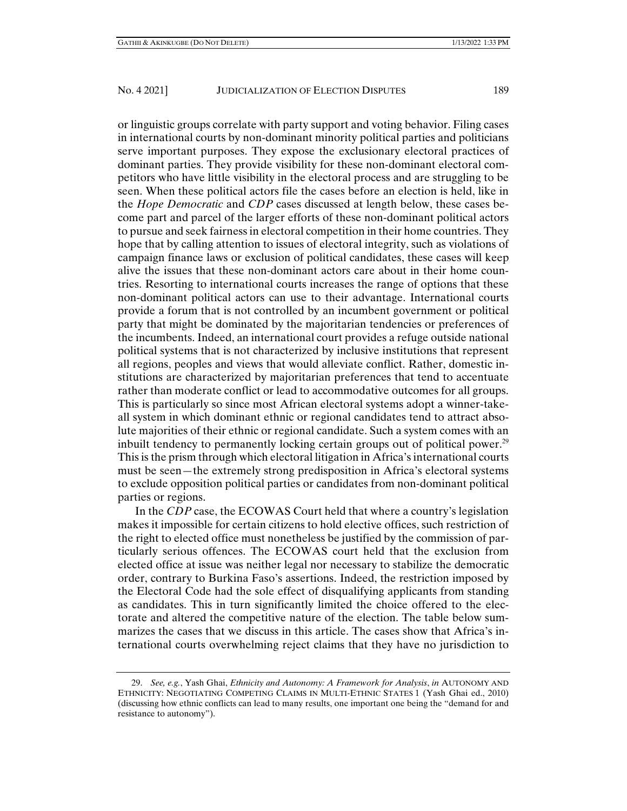or linguistic groups correlate with party support and voting behavior. Filing cases in international courts by non-dominant minority political parties and politicians serve important purposes. They expose the exclusionary electoral practices of dominant parties. They provide visibility for these non-dominant electoral competitors who have little visibility in the electoral process and are struggling to be seen. When these political actors file the cases before an election is held, like in the *Hope Democratic* and *CDP* cases discussed at length below, these cases become part and parcel of the larger efforts of these non-dominant political actors to pursue and seek fairness in electoral competition in their home countries. They hope that by calling attention to issues of electoral integrity, such as violations of campaign finance laws or exclusion of political candidates, these cases will keep alive the issues that these non-dominant actors care about in their home countries. Resorting to international courts increases the range of options that these non-dominant political actors can use to their advantage. International courts provide a forum that is not controlled by an incumbent government or political party that might be dominated by the majoritarian tendencies or preferences of the incumbents. Indeed, an international court provides a refuge outside national political systems that is not characterized by inclusive institutions that represent all regions, peoples and views that would alleviate conflict. Rather, domestic institutions are characterized by majoritarian preferences that tend to accentuate rather than moderate conflict or lead to accommodative outcomes for all groups. This is particularly so since most African electoral systems adopt a winner-take-

all system in which dominant ethnic or regional candidates tend to attract absolute majorities of their ethnic or regional candidate. Such a system comes with an inbuilt tendency to permanently locking certain groups out of political power.<sup>29</sup> This is the prism through which electoral litigation in Africa's international courts must be seen—the extremely strong predisposition in Africa's electoral systems to exclude opposition political parties or candidates from non-dominant political parties or regions.

In the *CDP* case, the ECOWAS Court held that where a country's legislation makes it impossible for certain citizens to hold elective offices, such restriction of the right to elected office must nonetheless be justified by the commission of particularly serious offences. The ECOWAS court held that the exclusion from elected office at issue was neither legal nor necessary to stabilize the democratic order, contrary to Burkina Faso's assertions. Indeed, the restriction imposed by the Electoral Code had the sole effect of disqualifying applicants from standing as candidates. This in turn significantly limited the choice offered to the electorate and altered the competitive nature of the election. The table below summarizes the cases that we discuss in this article. The cases show that Africa's international courts overwhelming reject claims that they have no jurisdiction to

 <sup>29.</sup> *See, e.g.*, Yash Ghai, *Ethnicity and Autonomy: A Framework for Analysis*, *in* AUTONOMY AND ETHNICITY: NEGOTIATING COMPETING CLAIMS IN MULTI-ETHNIC STATES 1 (Yash Ghai ed., 2010) (discussing how ethnic conflicts can lead to many results, one important one being the "demand for and resistance to autonomy").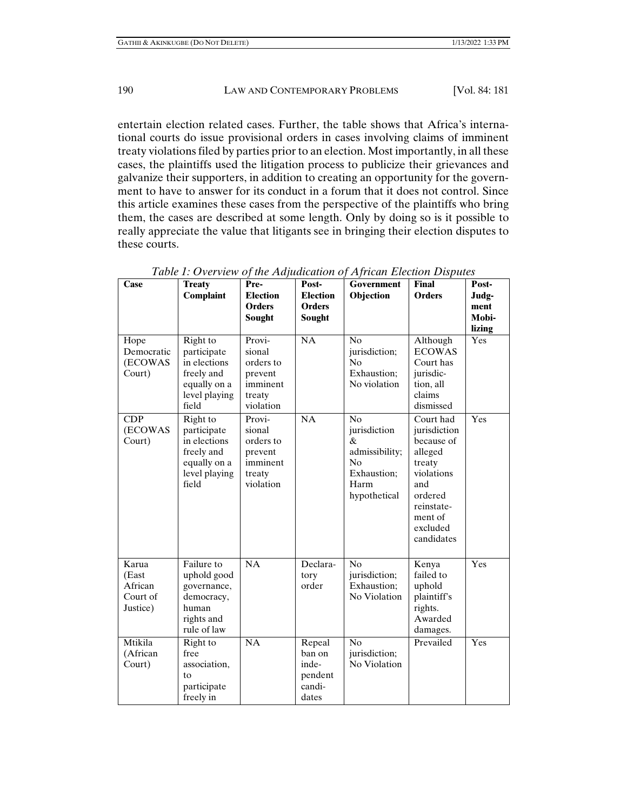entertain election related cases. Further, the table shows that Africa's international courts do issue provisional orders in cases involving claims of imminent treaty violations filed by parties prior to an election. Most importantly, in all these cases, the plaintiffs used the litigation process to publicize their grievances and galvanize their supporters, in addition to creating an opportunity for the government to have to answer for its conduct in a forum that it does not control. Since this article examines these cases from the perspective of the plaintiffs who bring them, the cases are described at some length. Only by doing so is it possible to really appreciate the value that litigants see in bringing their election disputes to these courts.

| Case                                              | <b>Treaty</b>                                                                                                     | Pre-                                                                        | Post-                                                   | <b>Government</b>                                                                      | <b>Final</b>                                                                                                                                    | Post-         |
|---------------------------------------------------|-------------------------------------------------------------------------------------------------------------------|-----------------------------------------------------------------------------|---------------------------------------------------------|----------------------------------------------------------------------------------------|-------------------------------------------------------------------------------------------------------------------------------------------------|---------------|
|                                                   | Complaint                                                                                                         | <b>Election</b><br><b>Orders</b>                                            | <b>Election</b><br><b>Orders</b>                        | Objection                                                                              | <b>Orders</b>                                                                                                                                   | Judg-<br>ment |
|                                                   |                                                                                                                   | Sought                                                                      | Sought                                                  |                                                                                        |                                                                                                                                                 | Mobi-         |
|                                                   |                                                                                                                   |                                                                             |                                                         |                                                                                        |                                                                                                                                                 | lizing        |
| Hope<br>Democratic<br>(ECOWAS<br>Court)           | Right to<br>participate<br>in elections<br>freely and<br>equally on a<br>level playing<br>field                   | Provi-<br>sional<br>orders to<br>prevent<br>imminent<br>treaty<br>violation | $\overline{NA}$                                         | N <sub>o</sub><br>jurisdiction;<br>No<br>Exhaustion;<br>No violation                   | Although<br><b>ECOWAS</b><br>Court has<br>jurisdic-<br>tion, all<br>claims<br>dismissed                                                         | Yes           |
| CDP<br>(ECOWAS<br>Court)                          | Right to<br>participate<br>in elections<br>freely and<br>equally on a<br>level playing<br>field                   | Provi-<br>sional<br>orders to<br>prevent<br>imminent<br>treaty<br>violation | NA                                                      | No<br>jurisdiction<br>&<br>admissibility;<br>No<br>Exhaustion;<br>Harm<br>hypothetical | Court had<br>jurisdiction<br>because of<br>alleged<br>treaty<br>violations<br>and<br>ordered<br>reinstate-<br>ment of<br>excluded<br>candidates | Yes           |
| Karua<br>(East<br>African<br>Court of<br>Justice) | $\overline{\text{F}}$ ailure to<br>uphold good<br>governance,<br>democracy,<br>human<br>rights and<br>rule of law | NA                                                                          | Declara-<br>tory<br>order                               | No<br>jurisdiction;<br>Exhaustion;<br>No Violation                                     | Kenya<br>failed to<br>uphold<br>plaintiff's<br>rights.<br>Awarded<br>damages.                                                                   | Yes           |
| Mtikila<br>(African<br>Court)                     | Right to<br>free<br>association,<br>to<br>participate<br>freely in                                                | NA                                                                          | Repeal<br>ban on<br>inde-<br>pendent<br>candi-<br>dates | No<br>jurisdiction;<br>No Violation                                                    | Prevailed                                                                                                                                       | Yes           |

*Table 1: Overview of the Adjudication of African Election Disputes*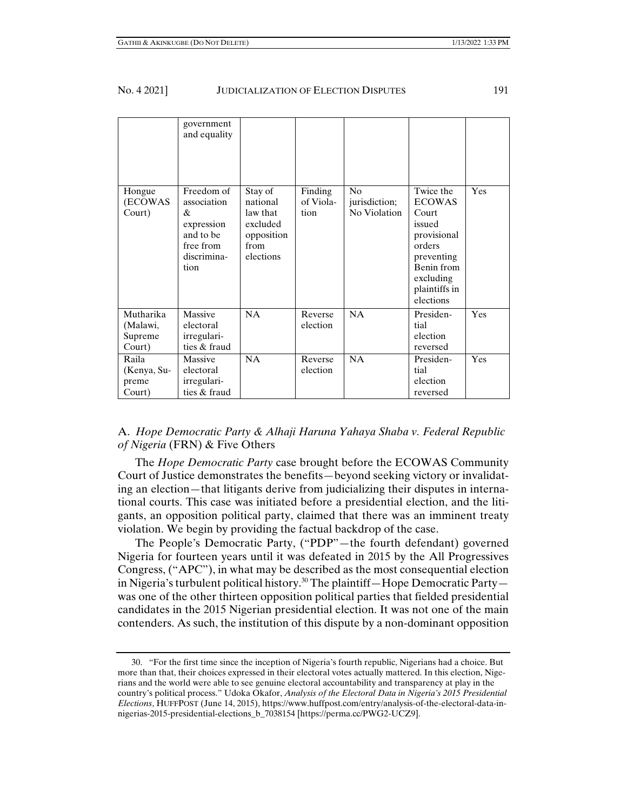|                                            | government<br>and equality                                                                    |                                                                                |                              |                                                 |                                                                                                                                               |     |
|--------------------------------------------|-----------------------------------------------------------------------------------------------|--------------------------------------------------------------------------------|------------------------------|-------------------------------------------------|-----------------------------------------------------------------------------------------------------------------------------------------------|-----|
| Hongue<br>(ECOWAS<br>Court)                | Freedom of<br>association<br>&<br>expression<br>and to be<br>free from<br>discrimina-<br>tion | Stay of<br>national<br>law that<br>excluded<br>opposition<br>from<br>elections | Finding<br>of Viola-<br>tion | N <sub>0</sub><br>jurisdiction;<br>No Violation | Twice the<br><b>ECOWAS</b><br>Court<br>issued<br>provisional<br>orders<br>preventing<br>Benin from<br>excluding<br>plaintiffs in<br>elections | Yes |
| Mutharika<br>(Malawi,<br>Supreme<br>Court) | Massive<br>electoral<br>irregulari-<br>ties & fraud                                           | NA                                                                             | Reverse<br>election          | NA                                              | Presiden-<br>tial<br>election<br>reversed                                                                                                     | Yes |
| Raila<br>(Kenya, Su-<br>preme<br>Court)    | Massive<br>electoral<br>irregulari-<br>ties & fraud                                           | NA                                                                             | Reverse<br>election          | NA                                              | Presiden-<br>tial<br>election<br>reversed                                                                                                     | Yes |

## A. *Hope Democratic Party & Alhaji Haruna Yahaya Shaba v. Federal Republic of Nigeria* (FRN) & Five Others

The *Hope Democratic Party* case brought before the ECOWAS Community Court of Justice demonstrates the benefits—beyond seeking victory or invalidating an election—that litigants derive from judicializing their disputes in international courts. This case was initiated before a presidential election, and the litigants, an opposition political party, claimed that there was an imminent treaty violation. We begin by providing the factual backdrop of the case.

The People's Democratic Party, ("PDP"—the fourth defendant) governed Nigeria for fourteen years until it was defeated in 2015 by the All Progressives Congress, ("APC"), in what may be described as the most consequential election in Nigeria's turbulent political history.30 The plaintiff—Hope Democratic Party was one of the other thirteen opposition political parties that fielded presidential candidates in the 2015 Nigerian presidential election. It was not one of the main contenders. As such, the institution of this dispute by a non-dominant opposition

 <sup>30. &</sup>quot;For the first time since the inception of Nigeria's fourth republic, Nigerians had a choice. But more than that, their choices expressed in their electoral votes actually mattered. In this election, Nigerians and the world were able to see genuine electoral accountability and transparency at play in the country's political process." Udoka Okafor, *Analysis of the Electoral Data in Nigeria's 2015 Presidential Elections*, HUFFPOST (June 14, 2015), https://www.huffpost.com/entry/analysis-of-the-electoral-data-innigerias-2015-presidential-elections\_b\_7038154 [https://perma.cc/PWG2-UCZ9].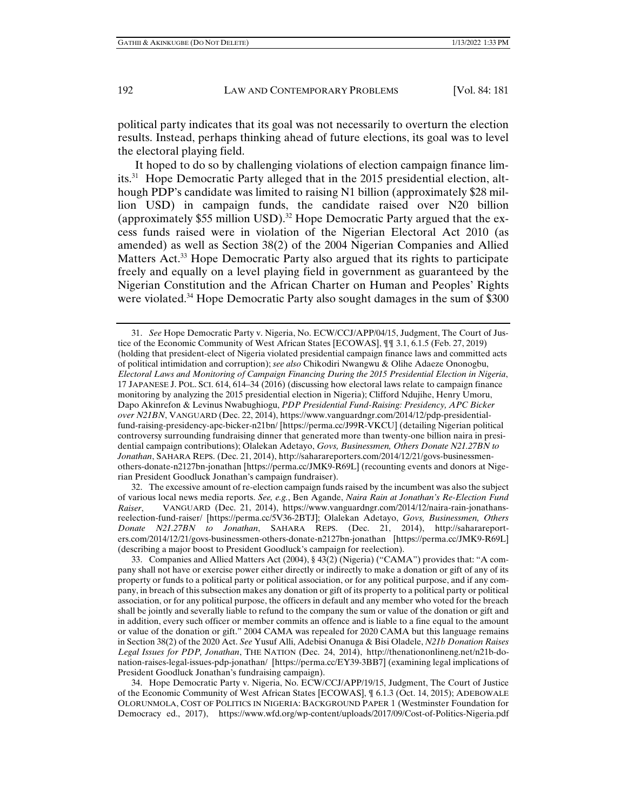political party indicates that its goal was not necessarily to overturn the election results. Instead, perhaps thinking ahead of future elections, its goal was to level the electoral playing field.

It hoped to do so by challenging violations of election campaign finance limits.31 Hope Democratic Party alleged that in the 2015 presidential election, although PDP's candidate was limited to raising N1 billion (approximately \$28 million USD) in campaign funds, the candidate raised over N20 billion (approximately \$55 million USD).<sup>32</sup> Hope Democratic Party argued that the excess funds raised were in violation of the Nigerian Electoral Act 2010 (as amended) as well as Section 38(2) of the 2004 Nigerian Companies and Allied Matters Act.<sup>33</sup> Hope Democratic Party also argued that its rights to participate freely and equally on a level playing field in government as guaranteed by the Nigerian Constitution and the African Charter on Human and Peoples' Rights were violated.<sup>34</sup> Hope Democratic Party also sought damages in the sum of \$300

 <sup>31.</sup> *See* Hope Democratic Party v. Nigeria, No. ECW/CCJ/APP/04/15, Judgment, The Court of Justice of the Economic Community of West African States [ECOWAS], ¶¶ 3.1, 6.1.5 (Feb. 27, 2019) (holding that president-elect of Nigeria violated presidential campaign finance laws and committed acts of political intimidation and corruption); *see also* Chikodiri Nwangwu & Olihe Adaeze Ononogbu, *Electoral Laws and Monitoring of Campaign Financing During the 2015 Presidential Election in Nigeria*, 17 JAPANESE J. POL. SCI. 614, 614–34 (2016) (discussing how electoral laws relate to campaign finance monitoring by analyzing the 2015 presidential election in Nigeria); Clifford Ndujihe, Henry Umoru, Dapo Akinrefon & Levinus Nwabughiogu, *PDP Presidential Fund-Raising: Presidency, APC Bicker over N21BN*, VANGUARD (Dec. 22, 2014), https://www.vanguardngr.com/2014/12/pdp-presidentialfund-raising-presidency-apc-bicker-n21bn/ [https://perma.cc/J99R-VKCU] (detailing Nigerian political controversy surrounding fundraising dinner that generated more than twenty-one billion naira in presidential campaign contributions); Olalekan Adetayo, *Govs, Businessmen, Others Donate N21.27BN to Jonathan*, SAHARA REPS. (Dec. 21, 2014), http://saharareporters.com/2014/12/21/govs-businessmenothers-donate-n2127bn-jonathan [https://perma.cc/JMK9-R69L] (recounting events and donors at Nigerian President Goodluck Jonathan's campaign fundraiser).

 <sup>32.</sup> The excessive amount of re-election campaign funds raised by the incumbent was also the subject of various local news media reports. *See, e.g.*, Ben Agande, *Naira Rain at Jonathan's Re-Election Fund Raiser*, VANGUARD (Dec. 21, 2014), https://www.vanguardngr.com/2014/12/naira-rain-jonathansreelection-fund-raiser/ [https://perma.cc/5V36-2BTJ]; Olalekan Adetayo, *Govs, Businessmen, Others Donate N21.27BN to Jonathan*, SAHARA REPS. (Dec. 21, 2014), http://saharareporters.com/2014/12/21/govs-businessmen-others-donate-n2127bn-jonathan [https://perma.cc/JMK9-R69L] (describing a major boost to President Goodluck's campaign for reelection).

 <sup>33.</sup> Companies and Allied Matters Act (2004), § 43(2) (Nigeria) ("CAMA") provides that: "A company shall not have or exercise power either directly or indirectly to make a donation or gift of any of its property or funds to a political party or political association, or for any political purpose, and if any company, in breach of this subsection makes any donation or gift of its property to a political party or political association, or for any political purpose, the officers in default and any member who voted for the breach shall be jointly and severally liable to refund to the company the sum or value of the donation or gift and in addition, every such officer or member commits an offence and is liable to a fine equal to the amount or value of the donation or gift." 2004 CAMA was repealed for 2020 CAMA but this language remains in Section 38(2) of the 2020 Act. *See* Yusuf Alli, Adebisi Onanuga & Bisi Oladele, *N21b Donation Raises Legal Issues for PDP, Jonathan*, THE NATION (Dec. 24, 2014), http://thenationonlineng.net/n21b-donation-raises-legal-issues-pdp-jonathan/ [https://perma.cc/EY39-3BB7] (examining legal implications of President Goodluck Jonathan's fundraising campaign).

 <sup>34.</sup> Hope Democratic Party v. Nigeria, No. ECW/CCJ/APP/19/15, Judgment, The Court of Justice of the Economic Community of West African States [ECOWAS], ¶ 6.1.3 (Oct. 14, 2015); ADEBOWALE OLORUNMOLA, COST OF POLITICS IN NIGERIA: BACKGROUND PAPER 1 (Westminster Foundation for Democracy ed., 2017), https://www.wfd.org/wp-content/uploads/2017/09/Cost-of-Politics-Nigeria.pdf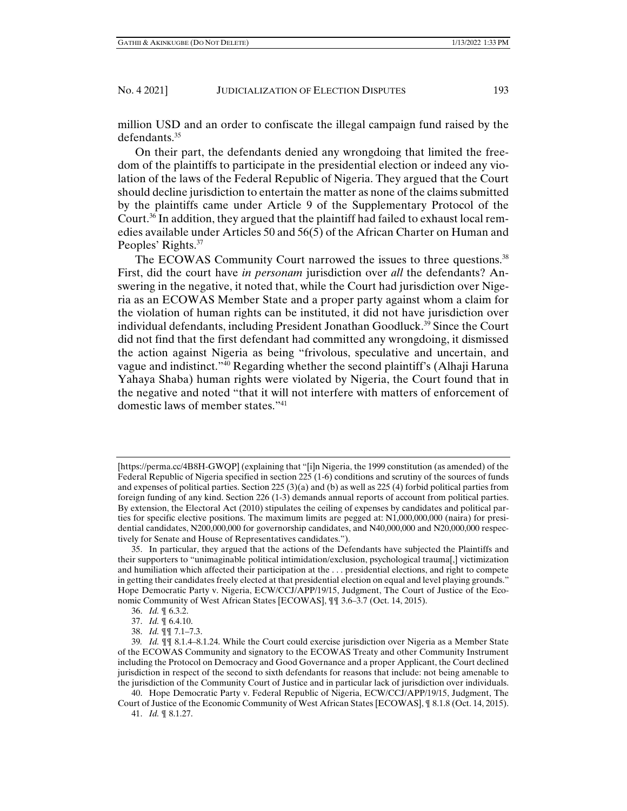million USD and an order to confiscate the illegal campaign fund raised by the defendants.<sup>35</sup>

On their part, the defendants denied any wrongdoing that limited the freedom of the plaintiffs to participate in the presidential election or indeed any violation of the laws of the Federal Republic of Nigeria. They argued that the Court should decline jurisdiction to entertain the matter as none of the claims submitted by the plaintiffs came under Article 9 of the Supplementary Protocol of the Court.36 In addition, they argued that the plaintiff had failed to exhaust local remedies available under Articles 50 and 56(5) of the African Charter on Human and Peoples' Rights.<sup>37</sup>

The ECOWAS Community Court narrowed the issues to three questions.<sup>38</sup> First, did the court have *in personam* jurisdiction over *all* the defendants? Answering in the negative, it noted that, while the Court had jurisdiction over Nigeria as an ECOWAS Member State and a proper party against whom a claim for the violation of human rights can be instituted, it did not have jurisdiction over individual defendants, including President Jonathan Goodluck.39 Since the Court did not find that the first defendant had committed any wrongdoing, it dismissed the action against Nigeria as being "frivolous, speculative and uncertain, and vague and indistinct."40 Regarding whether the second plaintiff's (Alhaji Haruna Yahaya Shaba) human rights were violated by Nigeria, the Court found that in the negative and noted "that it will not interfere with matters of enforcement of domestic laws of member states."41

38. *Id.* ¶¶ 7.1–7.3.

 40. Hope Democratic Party v. Federal Republic of Nigeria, ECW/CCJ/APP/19/15, Judgment, The Court of Justice of the Economic Community of West African States [ECOWAS], ¶ 8.1.8 (Oct. 14, 2015).

<sup>[</sup>https://perma.cc/4B8H-GWQP] (explaining that "[i]n Nigeria, the 1999 constitution (as amended) of the Federal Republic of Nigeria specified in section 225 (1-6) conditions and scrutiny of the sources of funds and expenses of political parties. Section 225 (3)(a) and (b) as well as 225 (4) forbid political parties from foreign funding of any kind. Section 226 (1-3) demands annual reports of account from political parties. By extension, the Electoral Act (2010) stipulates the ceiling of expenses by candidates and political parties for specific elective positions. The maximum limits are pegged at: N1,000,000,000 (naira) for presidential candidates, N200,000,000 for governorship candidates, and N40,000,000 and N20,000,000 respectively for Senate and House of Representatives candidates.").

 <sup>35.</sup> In particular, they argued that the actions of the Defendants have subjected the Plaintiffs and their supporters to "unimaginable political intimidation/exclusion, psychological trauma[,] victimization and humiliation which affected their participation at the . . . presidential elections, and right to compete in getting their candidates freely elected at that presidential election on equal and level playing grounds." Hope Democratic Party v. Nigeria, ECW/CCJ/APP/19/15, Judgment, The Court of Justice of the Economic Community of West African States [ECOWAS], ¶¶ 3.6–3.7 (Oct. 14, 2015).

 <sup>36.</sup> *Id.* ¶ 6.3.2.

 <sup>37.</sup> *Id.* ¶ 6.4.10.

<sup>39</sup>*. Id.* ¶¶ 8.1.4–8.1.24. While the Court could exercise jurisdiction over Nigeria as a Member State of the ECOWAS Community and signatory to the ECOWAS Treaty and other Community Instrument including the Protocol on Democracy and Good Governance and a proper Applicant, the Court declined jurisdiction in respect of the second to sixth defendants for reasons that include: not being amenable to the jurisdiction of the Community Court of Justice and in particular lack of jurisdiction over individuals.

 <sup>41.</sup> *Id.* ¶ 8.1.27.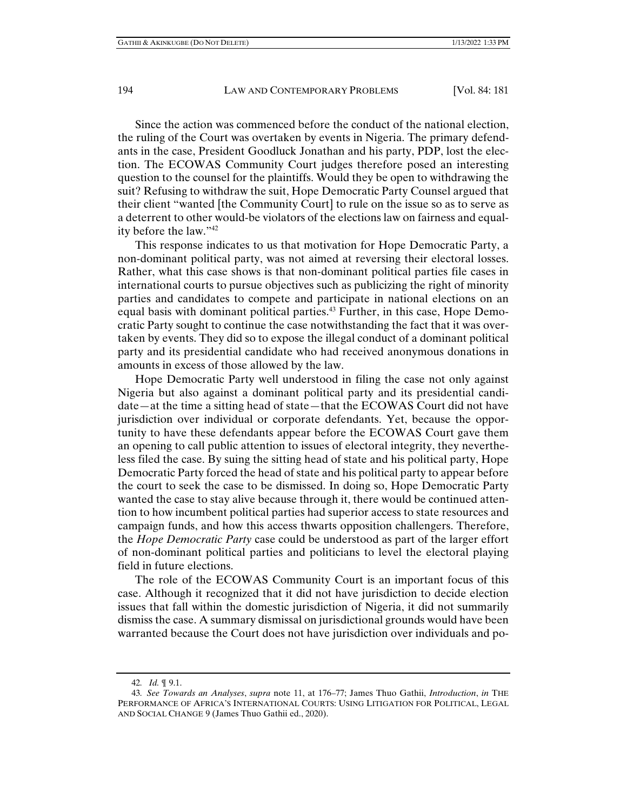Since the action was commenced before the conduct of the national election, the ruling of the Court was overtaken by events in Nigeria. The primary defendants in the case, President Goodluck Jonathan and his party, PDP, lost the election. The ECOWAS Community Court judges therefore posed an interesting question to the counsel for the plaintiffs. Would they be open to withdrawing the suit? Refusing to withdraw the suit, Hope Democratic Party Counsel argued that their client "wanted [the Community Court] to rule on the issue so as to serve as a deterrent to other would-be violators of the elections law on fairness and equality before the law."42

This response indicates to us that motivation for Hope Democratic Party, a non-dominant political party, was not aimed at reversing their electoral losses. Rather, what this case shows is that non-dominant political parties file cases in international courts to pursue objectives such as publicizing the right of minority parties and candidates to compete and participate in national elections on an equal basis with dominant political parties.<sup>43</sup> Further, in this case, Hope Democratic Party sought to continue the case notwithstanding the fact that it was overtaken by events. They did so to expose the illegal conduct of a dominant political party and its presidential candidate who had received anonymous donations in amounts in excess of those allowed by the law.

Hope Democratic Party well understood in filing the case not only against Nigeria but also against a dominant political party and its presidential candidate—at the time a sitting head of state—that the ECOWAS Court did not have jurisdiction over individual or corporate defendants. Yet, because the opportunity to have these defendants appear before the ECOWAS Court gave them an opening to call public attention to issues of electoral integrity, they nevertheless filed the case. By suing the sitting head of state and his political party, Hope Democratic Party forced the head of state and his political party to appear before the court to seek the case to be dismissed. In doing so, Hope Democratic Party wanted the case to stay alive because through it, there would be continued attention to how incumbent political parties had superior access to state resources and campaign funds, and how this access thwarts opposition challengers. Therefore, the *Hope Democratic Party* case could be understood as part of the larger effort of non-dominant political parties and politicians to level the electoral playing field in future elections.

The role of the ECOWAS Community Court is an important focus of this case. Although it recognized that it did not have jurisdiction to decide election issues that fall within the domestic jurisdiction of Nigeria, it did not summarily dismiss the case. A summary dismissal on jurisdictional grounds would have been warranted because the Court does not have jurisdiction over individuals and po-

<sup>42</sup>*. Id.* ¶ 9.1.

<sup>43</sup>*. See Towards an Analyses*, *supra* note 11, at 176–77; James Thuo Gathii, *Introduction*, *in* THE PERFORMANCE OF AFRICA'S INTERNATIONAL COURTS: USING LITIGATION FOR POLITICAL, LEGAL AND SOCIAL CHANGE 9 (James Thuo Gathii ed., 2020).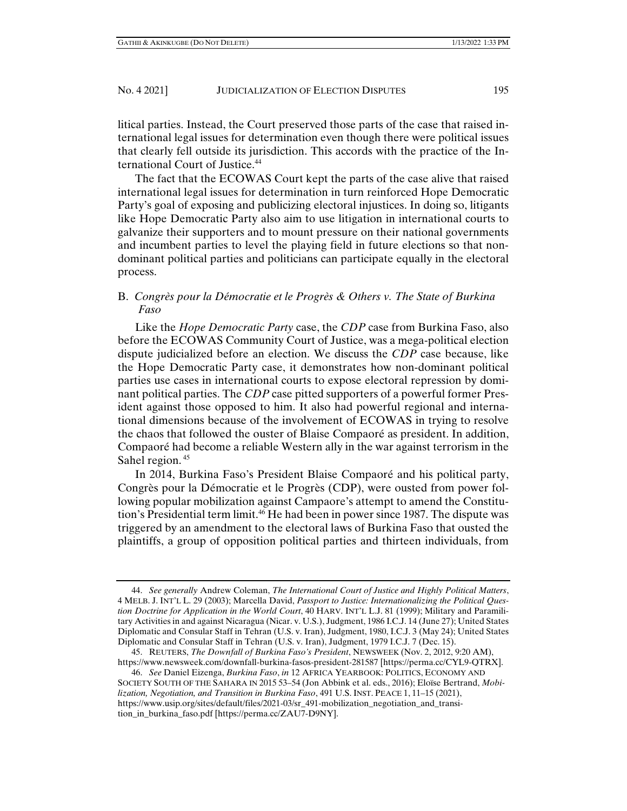litical parties. Instead, the Court preserved those parts of the case that raised international legal issues for determination even though there were political issues that clearly fell outside its jurisdiction. This accords with the practice of the International Court of Justice.<sup>44</sup>

The fact that the ECOWAS Court kept the parts of the case alive that raised international legal issues for determination in turn reinforced Hope Democratic Party's goal of exposing and publicizing electoral injustices. In doing so, litigants like Hope Democratic Party also aim to use litigation in international courts to galvanize their supporters and to mount pressure on their national governments and incumbent parties to level the playing field in future elections so that nondominant political parties and politicians can participate equally in the electoral process.

## B. *Congrès pour la Démocratie et le Progrès & Others v. The State of Burkina Faso*

Like the *Hope Democratic Party* case, the *CDP* case from Burkina Faso, also before the ECOWAS Community Court of Justice, was a mega-political election dispute judicialized before an election. We discuss the *CDP* case because, like the Hope Democratic Party case, it demonstrates how non-dominant political parties use cases in international courts to expose electoral repression by dominant political parties. The *CDP* case pitted supporters of a powerful former President against those opposed to him. It also had powerful regional and international dimensions because of the involvement of ECOWAS in trying to resolve the chaos that followed the ouster of Blaise Compaoré as president. In addition, Compaoré had become a reliable Western ally in the war against terrorism in the Sahel region.<sup>45</sup>

In 2014, Burkina Faso's President Blaise Compaoré and his political party, Congrès pour la Démocratie et le Progrès (CDP), were ousted from power following popular mobilization against Campaore's attempt to amend the Constitution's Presidential term limit.<sup>46</sup> He had been in power since 1987. The dispute was triggered by an amendment to the electoral laws of Burkina Faso that ousted the plaintiffs, a group of opposition political parties and thirteen individuals, from

 <sup>44.</sup> *See generally* Andrew Coleman, *The International Court of Justice and Highly Political Matters*, 4 MELB. J. INT'L L. 29 (2003); Marcella David, *Passport to Justice: Internationalizing the Political Question Doctrine for Application in the World Court*, 40 HARV. INT'L L.J. 81 (1999); Military and Paramilitary Activities in and against Nicaragua (Nicar. v. U.S.), Judgment, 1986 I.C.J. 14 (June 27); United States Diplomatic and Consular Staff in Tehran (U.S. v. Iran), Judgment, 1980, I.C.J. 3 (May 24); United States Diplomatic and Consular Staff in Tehran (U.S. v. Iran), Judgment, 1979 I.C.J. 7 (Dec. 15).

 <sup>45.</sup> REUTERS, *The Downfall of Burkina Faso's President*, NEWSWEEK (Nov. 2, 2012, 9:20 AM), https://www.newsweek.com/downfall-burkina-fasos-president-281587 [https://perma.cc/CYL9-QTRX].

 <sup>46.</sup> *See* Daniel Eizenga, *Burkina Faso*, *in* 12 AFRICA YEARBOOK: POLITICS, ECONOMY AND SOCIETY SOUTH OF THE SAHARA IN 2015 53–54 (Jon Abbink et al. eds., 2016); Eloïse Bertrand, *Mobilization, Negotiation, and Transition in Burkina Faso*, 491 U.S. INST. PEACE 1, 11–15 (2021), https://www.usip.org/sites/default/files/2021-03/sr\_491-mobilization\_negotiation\_and\_transition\_in\_burkina\_faso.pdf [https://perma.cc/ZAU7-D9NY].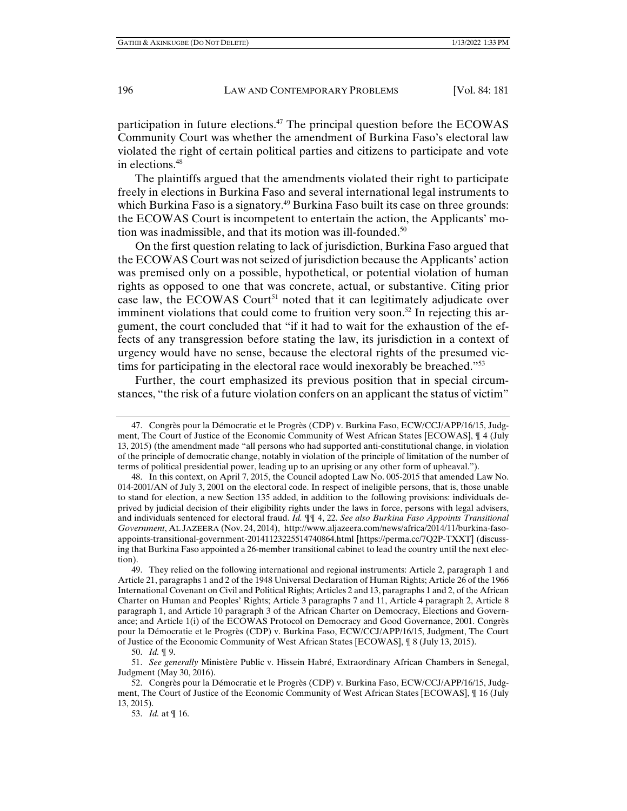participation in future elections.<sup>47</sup> The principal question before the ECOWAS Community Court was whether the amendment of Burkina Faso's electoral law violated the right of certain political parties and citizens to participate and vote in elections.48

The plaintiffs argued that the amendments violated their right to participate freely in elections in Burkina Faso and several international legal instruments to which Burkina Faso is a signatory.<sup>49</sup> Burkina Faso built its case on three grounds: the ECOWAS Court is incompetent to entertain the action, the Applicants' motion was inadmissible, and that its motion was ill-founded.<sup>50</sup>

On the first question relating to lack of jurisdiction, Burkina Faso argued that the ECOWAS Court was not seized of jurisdiction because the Applicants' action was premised only on a possible, hypothetical, or potential violation of human rights as opposed to one that was concrete, actual, or substantive. Citing prior case law, the ECOWAS Court<sup>51</sup> noted that it can legitimately adjudicate over imminent violations that could come to fruition very soon.<sup>52</sup> In rejecting this argument, the court concluded that "if it had to wait for the exhaustion of the effects of any transgression before stating the law, its jurisdiction in a context of urgency would have no sense, because the electoral rights of the presumed victims for participating in the electoral race would inexorably be breached."<sup>53</sup>

Further, the court emphasized its previous position that in special circumstances, "the risk of a future violation confers on an applicant the status of victim"

53. *Id.* at ¶ 16.

 <sup>47.</sup> Congrès pour la Démocratie et le Progrès (CDP) v. Burkina Faso, ECW/CCJ/APP/16/15, Judgment, The Court of Justice of the Economic Community of West African States [ECOWAS], ¶ 4 (July 13, 2015) (the amendment made "all persons who had supported anti-constitutional change, in violation of the principle of democratic change, notably in violation of the principle of limitation of the number of terms of political presidential power, leading up to an uprising or any other form of upheaval.").

 <sup>48.</sup> In this context, on April 7, 2015, the Council adopted Law No. 005-2015 that amended Law No. 014-2001/AN of July 3, 2001 on the electoral code. In respect of ineligible persons, that is, those unable to stand for election, a new Section 135 added, in addition to the following provisions: individuals deprived by judicial decision of their eligibility rights under the laws in force, persons with legal advisers, and individuals sentenced for electoral fraud. *Id.* ¶¶ 4, 22. *See also Burkina Faso Appoints Transitional Government*, AL JAZEERA (Nov. 24, 2014), http://www.aljazeera.com/news/africa/2014/11/burkina-fasoappoints-transitional-government-20141123225514740864.html [https://perma.cc/7Q2P-TXXT] (discussing that Burkina Faso appointed a 26-member transitional cabinet to lead the country until the next election).

 <sup>49.</sup> They relied on the following international and regional instruments: Article 2, paragraph 1 and Article 21, paragraphs 1 and 2 of the 1948 Universal Declaration of Human Rights; Article 26 of the 1966 International Covenant on Civil and Political Rights; Articles 2 and 13, paragraphs 1 and 2, of the African Charter on Human and Peoples' Rights; Article 3 paragraphs 7 and 11, Article 4 paragraph 2, Article 8 paragraph 1, and Article 10 paragraph 3 of the African Charter on Democracy, Elections and Governance; and Article 1(i) of the ECOWAS Protocol on Democracy and Good Governance, 2001. Congrès pour la Démocratie et le Progrès (CDP) v. Burkina Faso, ECW/CCJ/APP/16/15, Judgment, The Court of Justice of the Economic Community of West African States [ECOWAS], ¶ 8 (July 13, 2015).

 <sup>50.</sup> *Id.* ¶ 9.

 <sup>51.</sup> *See generally* Ministère Public v. Hissein Habré, Extraordinary African Chambers in Senegal, Judgment (May 30, 2016).

 <sup>52.</sup> Congrès pour la Démocratie et le Progrès (CDP) v. Burkina Faso, ECW/CCJ/APP/16/15, Judgment, The Court of Justice of the Economic Community of West African States [ECOWAS], ¶ 16 (July 13, 2015).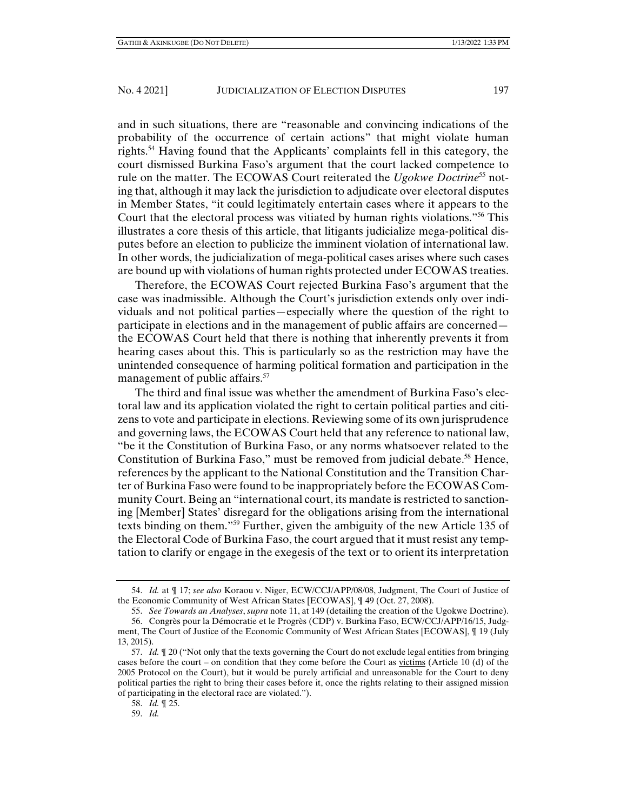and in such situations, there are "reasonable and convincing indications of the probability of the occurrence of certain actions" that might violate human rights.54 Having found that the Applicants' complaints fell in this category, the court dismissed Burkina Faso's argument that the court lacked competence to rule on the matter. The ECOWAS Court reiterated the *Ugokwe Doctrine*55 noting that, although it may lack the jurisdiction to adjudicate over electoral disputes in Member States, "it could legitimately entertain cases where it appears to the Court that the electoral process was vitiated by human rights violations."56 This illustrates a core thesis of this article, that litigants judicialize mega-political disputes before an election to publicize the imminent violation of international law. In other words, the judicialization of mega-political cases arises where such cases are bound up with violations of human rights protected under ECOWAS treaties.

Therefore, the ECOWAS Court rejected Burkina Faso's argument that the case was inadmissible. Although the Court's jurisdiction extends only over individuals and not political parties—especially where the question of the right to participate in elections and in the management of public affairs are concerned the ECOWAS Court held that there is nothing that inherently prevents it from hearing cases about this. This is particularly so as the restriction may have the unintended consequence of harming political formation and participation in the management of public affairs.<sup>57</sup>

The third and final issue was whether the amendment of Burkina Faso's electoral law and its application violated the right to certain political parties and citizens to vote and participate in elections. Reviewing some of its own jurisprudence and governing laws, the ECOWAS Court held that any reference to national law, "be it the Constitution of Burkina Faso, or any norms whatsoever related to the Constitution of Burkina Faso," must be removed from judicial debate.<sup>58</sup> Hence, references by the applicant to the National Constitution and the Transition Charter of Burkina Faso were found to be inappropriately before the ECOWAS Community Court. Being an "international court, its mandate is restricted to sanctioning [Member] States' disregard for the obligations arising from the international texts binding on them."59 Further, given the ambiguity of the new Article 135 of the Electoral Code of Burkina Faso, the court argued that it must resist any temptation to clarify or engage in the exegesis of the text or to orient its interpretation

 <sup>54.</sup> *Id.* at ¶ 17; *see also* Koraou v. Niger, ECW/CCJ/APP/08/08, Judgment, The Court of Justice of the Economic Community of West African States [ECOWAS], ¶ 49 (Oct. 27, 2008).

 <sup>55.</sup> *See Towards an Analyses*, *supra* note 11, at 149 (detailing the creation of the Ugokwe Doctrine).

 <sup>56.</sup> Congrès pour la Démocratie et le Progrès (CDP) v. Burkina Faso, ECW/CCJ/APP/16/15, Judgment, The Court of Justice of the Economic Community of West African States [ECOWAS], ¶ 19 (July 13, 2015).

 <sup>57.</sup> *Id.* ¶ 20 ("Not only that the texts governing the Court do not exclude legal entities from bringing cases before the court – on condition that they come before the Court as victims (Article 10 (d) of the 2005 Protocol on the Court), but it would be purely artificial and unreasonable for the Court to deny political parties the right to bring their cases before it, once the rights relating to their assigned mission of participating in the electoral race are violated.").

 <sup>58.</sup> *Id.* ¶ 25.

 <sup>59.</sup> *Id.*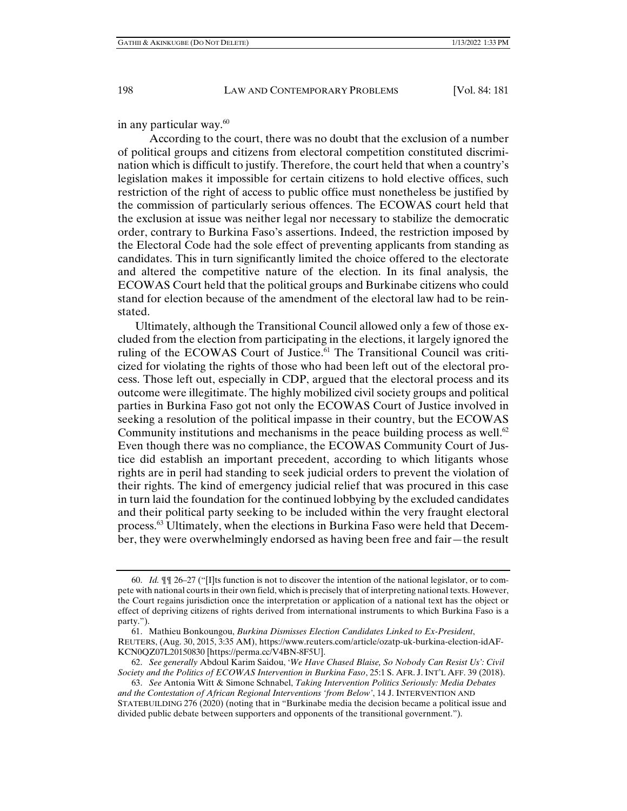in any particular way.60

 According to the court, there was no doubt that the exclusion of a number of political groups and citizens from electoral competition constituted discrimination which is difficult to justify. Therefore, the court held that when a country's legislation makes it impossible for certain citizens to hold elective offices, such restriction of the right of access to public office must nonetheless be justified by the commission of particularly serious offences. The ECOWAS court held that the exclusion at issue was neither legal nor necessary to stabilize the democratic order, contrary to Burkina Faso's assertions. Indeed, the restriction imposed by the Electoral Code had the sole effect of preventing applicants from standing as candidates. This in turn significantly limited the choice offered to the electorate and altered the competitive nature of the election. In its final analysis, the ECOWAS Court held that the political groups and Burkinabe citizens who could stand for election because of the amendment of the electoral law had to be reinstated.

Ultimately, although the Transitional Council allowed only a few of those excluded from the election from participating in the elections, it largely ignored the ruling of the ECOWAS Court of Justice.<sup>61</sup> The Transitional Council was criticized for violating the rights of those who had been left out of the electoral process. Those left out, especially in CDP, argued that the electoral process and its outcome were illegitimate. The highly mobilized civil society groups and political parties in Burkina Faso got not only the ECOWAS Court of Justice involved in seeking a resolution of the political impasse in their country, but the ECOWAS Community institutions and mechanisms in the peace building process as well.<sup>62</sup> Even though there was no compliance, the ECOWAS Community Court of Justice did establish an important precedent, according to which litigants whose rights are in peril had standing to seek judicial orders to prevent the violation of their rights. The kind of emergency judicial relief that was procured in this case in turn laid the foundation for the continued lobbying by the excluded candidates and their political party seeking to be included within the very fraught electoral process.63 Ultimately, when the elections in Burkina Faso were held that December, they were overwhelmingly endorsed as having been free and fair—the result

 <sup>60.</sup> *Id.* ¶¶ 26–27 ("[I]ts function is not to discover the intention of the national legislator, or to compete with national courts in their own field, which is precisely that of interpreting national texts. However, the Court regains jurisdiction once the interpretation or application of a national text has the object or effect of depriving citizens of rights derived from international instruments to which Burkina Faso is a party.").

 <sup>61.</sup> Mathieu Bonkoungou, *Burkina Dismisses Election Candidates Linked to Ex-President*, REUTERS, (Aug. 30, 2015, 3:35 AM), https://www.reuters.com/article/ozatp-uk-burkina-election-idAF-KCN0QZ07L20150830 [https://perma.cc/V4BN-8F5U].

 <sup>62.</sup> *See generally* Abdoul Karim Saidou, '*We Have Chased Blaise, So Nobody Can Resist Us': Civil Society and the Politics of ECOWAS Intervention in Burkina Faso*, 25:1 S. AFR. J. INT'L AFF. 39 (2018).

 <sup>63.</sup> *See* Antonia Witt & Simone Schnabel, *Taking Intervention Politics Seriously: Media Debates and the Contestation of African Regional Interventions 'from Below'*, 14 J. INTERVENTION AND STATEBUILDING 276 (2020) (noting that in "Burkinabe media the decision became a political issue and divided public debate between supporters and opponents of the transitional government.").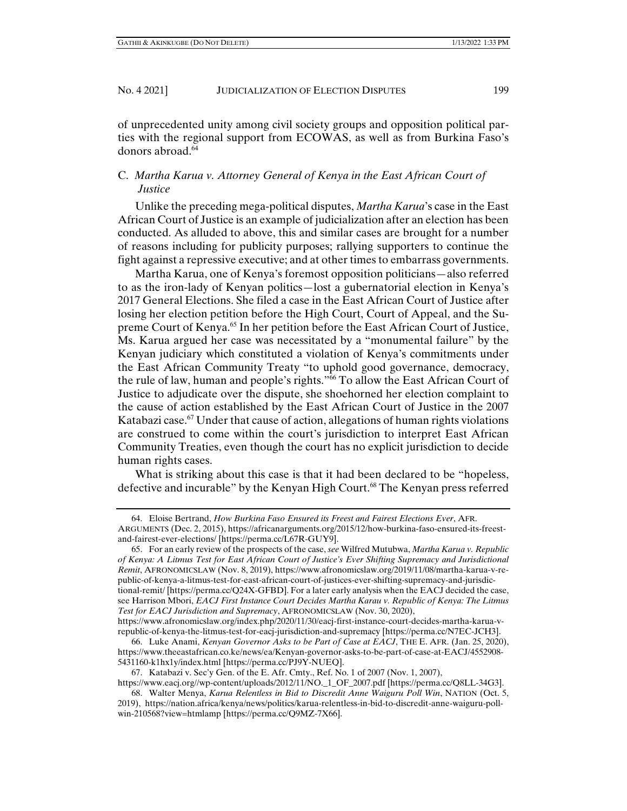of unprecedented unity among civil society groups and opposition political parties with the regional support from ECOWAS, as well as from Burkina Faso's donors abroad.<sup>64</sup>

## C. *Martha Karua v. Attorney General of Kenya in the East African Court of Justice*

Unlike the preceding mega-political disputes, *Martha Karua*'s case in the East African Court of Justice is an example of judicialization after an election has been conducted. As alluded to above, this and similar cases are brought for a number of reasons including for publicity purposes; rallying supporters to continue the fight against a repressive executive; and at other times to embarrass governments.

Martha Karua, one of Kenya's foremost opposition politicians—also referred to as the iron-lady of Kenyan politics—lost a gubernatorial election in Kenya's 2017 General Elections. She filed a case in the East African Court of Justice after losing her election petition before the High Court, Court of Appeal, and the Supreme Court of Kenya.<sup>65</sup> In her petition before the East African Court of Justice, Ms. Karua argued her case was necessitated by a "monumental failure" by the Kenyan judiciary which constituted a violation of Kenya's commitments under the East African Community Treaty "to uphold good governance, democracy, the rule of law, human and people's rights."66 To allow the East African Court of Justice to adjudicate over the dispute, she shoehorned her election complaint to the cause of action established by the East African Court of Justice in the 2007 Katabazi case.<sup>67</sup> Under that cause of action, allegations of human rights violations are construed to come within the court's jurisdiction to interpret East African Community Treaties, even though the court has no explicit jurisdiction to decide human rights cases.

What is striking about this case is that it had been declared to be "hopeless, defective and incurable" by the Kenyan High Court.68 The Kenyan press referred

 <sup>64.</sup> Eloise Bertrand, *How Burkina Faso Ensured its Freest and Fairest Elections Ever*, AFR. ARGUMENTS (Dec. 2, 2015), https://africanarguments.org/2015/12/how-burkina-faso-ensured-its-freestand-fairest-ever-elections/ [https://perma.cc/L67R-GUY9].

 <sup>65.</sup> For an early review of the prospects of the case, *see* Wilfred Mutubwa, *Martha Karua v. Republic of Kenya: A Litmus Test for East African Court of Justice's Ever Shifting Supremacy and Jurisdictional Remit*, AFRONOMICSLAW (Nov. 8, 2019), https://www.afronomicslaw.org/2019/11/08/martha-karua-v-republic-of-kenya-a-litmus-test-for-east-african-court-of-justices-ever-shifting-supremacy-and-jurisdictional-remit/ [https://perma.cc/Q24X-GFBD]. For a later early analysis when the EACJ decided the case, see Harrison Mbori, *EACJ First Instance Court Decides Martha Karau v. Republic of Kenya: The Litmus Test for EACJ Jurisdiction and Supremacy*, AFRONOMICSLAW (Nov. 30, 2020),

https://www.afronomicslaw.org/index.php/2020/11/30/eacj-first-instance-court-decides-martha-karua-vrepublic-of-kenya-the-litmus-test-for-eacj-jurisdiction-and-supremacy [https://perma.cc/N7EC-JCH3].

 <sup>66.</sup> Luke Anami, *Kenyan Governor Asks to be Part of Case at EACJ*, THE E. AFR. (Jan. 25, 2020), https://www.theeastafrican.co.ke/news/ea/Kenyan-governor-asks-to-be-part-of-case-at-EACJ/4552908- 5431160-k1hx1y/index.html [https://perma.cc/PJ9Y-NUEQ].

 <sup>67.</sup> Katabazi v. Sec'y Gen. of the E. Afr. Cmty., Ref. No. 1 of 2007 (Nov. 1, 2007),

https://www.eacj.org//wp-content/uploads/2012/11/NO.\_1\_OF\_2007.pdf [https://perma.cc/Q8LL-34G3]. 68. Walter Menya, *Karua Relentless in Bid to Discredit Anne Waiguru Poll Win*, NATION (Oct. 5,

<sup>2019),</sup> https://nation.africa/kenya/news/politics/karua-relentless-in-bid-to-discredit-anne-waiguru-pollwin-210568?view=htmlamp [https://perma.cc/Q9MZ-7X66].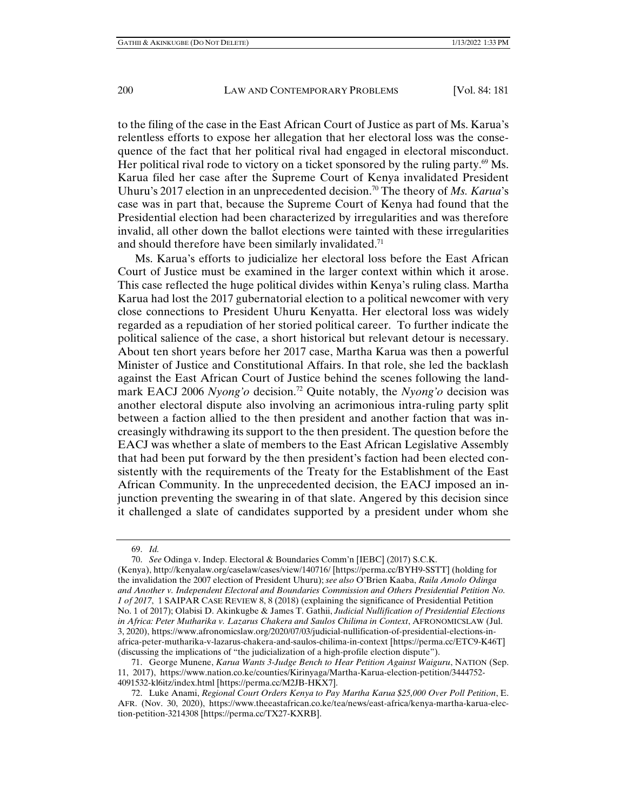to the filing of the case in the East African Court of Justice as part of Ms. Karua's relentless efforts to expose her allegation that her electoral loss was the consequence of the fact that her political rival had engaged in electoral misconduct. Her political rival rode to victory on a ticket sponsored by the ruling party.<sup>69</sup> Ms. Karua filed her case after the Supreme Court of Kenya invalidated President Uhuru's 2017 election in an unprecedented decision.<sup>70</sup> The theory of *Ms. Karua*'s case was in part that, because the Supreme Court of Kenya had found that the Presidential election had been characterized by irregularities and was therefore invalid, all other down the ballot elections were tainted with these irregularities and should therefore have been similarly invalidated.<sup>71</sup>

Ms. Karua's efforts to judicialize her electoral loss before the East African Court of Justice must be examined in the larger context within which it arose. This case reflected the huge political divides within Kenya's ruling class. Martha Karua had lost the 2017 gubernatorial election to a political newcomer with very close connections to President Uhuru Kenyatta. Her electoral loss was widely regarded as a repudiation of her storied political career. To further indicate the political salience of the case, a short historical but relevant detour is necessary. About ten short years before her 2017 case, Martha Karua was then a powerful Minister of Justice and Constitutional Affairs. In that role, she led the backlash against the East African Court of Justice behind the scenes following the landmark EACJ 2006 *Nyong'o* decision.<sup>72</sup> Quite notably, the *Nyong'o* decision was another electoral dispute also involving an acrimonious intra-ruling party split between a faction allied to the then president and another faction that was increasingly withdrawing its support to the then president. The question before the EACJ was whether a slate of members to the East African Legislative Assembly that had been put forward by the then president's faction had been elected consistently with the requirements of the Treaty for the Establishment of the East African Community. In the unprecedented decision, the EACJ imposed an injunction preventing the swearing in of that slate. Angered by this decision since it challenged a slate of candidates supported by a president under whom she

70. *See* Odinga v. Indep. Electoral & Boundaries Comm'n [IEBC] (2017) S.C.K.

(Kenya), http://kenyalaw.org/caselaw/cases/view/140716/ [https://perma.cc/BYH9-SSTT] (holding for the invalidation the 2007 election of President Uhuru); *see also* O'Brien Kaaba, *Raila Amolo Odinga and Another v. Independent Electoral and Boundaries Commission and Others Presidential Petition No. 1 of 2017*,1 SAIPAR CASE REVIEW 8, 8 (2018) (explaining the significance of Presidential Petition No. 1 of 2017); Olabisi D. Akinkugbe & James T. Gathii, *Judicial Nullification of Presidential Elections in Africa: Peter Mutharika v. Lazarus Chakera and Saulos Chilima in Context*, AFRONOMICSLAW (Jul. 3, 2020), https://www.afronomicslaw.org/2020/07/03/judicial-nullification-of-presidential-elections-inafrica-peter-mutharika-v-lazarus-chakera-and-saulos-chilima-in-context [https://perma.cc/ETC9-K46T] (discussing the implications of "the judicialization of a high-profile election dispute").

 <sup>69.</sup> *Id.*

 <sup>71.</sup> George Munene, *Karua Wants 3-Judge Bench to Hear Petition Against Waiguru*, NATION (Sep. 11, 2017), https://www.nation.co.ke/counties/Kirinyaga/Martha-Karua-election-petition/3444752- 4091532-kl6itz/index.html [https://perma.cc/M2JB-HKX7].

 <sup>72.</sup> Luke Anami, *Regional Court Orders Kenya to Pay Martha Karua \$25,000 Over Poll Petition*, E. AFR. (Nov. 30, 2020), https://www.theeastafrican.co.ke/tea/news/east-africa/kenya-martha-karua-election-petition-3214308 [https://perma.cc/TX27-KXRB].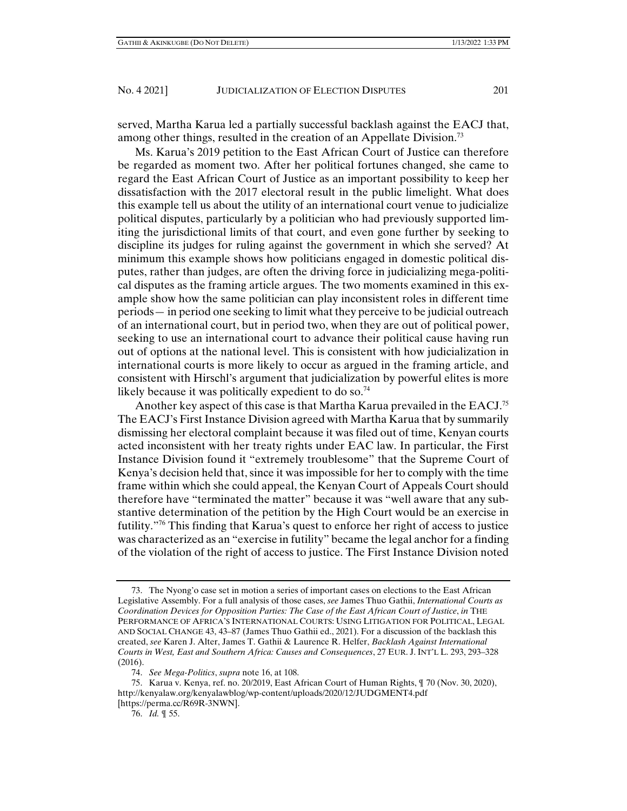served, Martha Karua led a partially successful backlash against the EACJ that, among other things, resulted in the creation of an Appellate Division.73

Ms. Karua's 2019 petition to the East African Court of Justice can therefore be regarded as moment two. After her political fortunes changed, she came to regard the East African Court of Justice as an important possibility to keep her dissatisfaction with the 2017 electoral result in the public limelight. What does this example tell us about the utility of an international court venue to judicialize political disputes, particularly by a politician who had previously supported limiting the jurisdictional limits of that court, and even gone further by seeking to discipline its judges for ruling against the government in which she served? At minimum this example shows how politicians engaged in domestic political disputes, rather than judges, are often the driving force in judicializing mega-political disputes as the framing article argues. The two moments examined in this example show how the same politician can play inconsistent roles in different time periods— in period one seeking to limit what they perceive to be judicial outreach of an international court, but in period two, when they are out of political power, seeking to use an international court to advance their political cause having run out of options at the national level. This is consistent with how judicialization in international courts is more likely to occur as argued in the framing article, and consistent with Hirschl's argument that judicialization by powerful elites is more likely because it was politically expedient to do so.<sup>74</sup>

Another key aspect of this case is that Martha Karua prevailed in the EACJ.<sup>75</sup> The EACJ's First Instance Division agreed with Martha Karua that by summarily dismissing her electoral complaint because it was filed out of time, Kenyan courts acted inconsistent with her treaty rights under EAC law. In particular, the First Instance Division found it "extremely troublesome" that the Supreme Court of Kenya's decision held that, since it was impossible for her to comply with the time frame within which she could appeal, the Kenyan Court of Appeals Court should therefore have "terminated the matter" because it was "well aware that any substantive determination of the petition by the High Court would be an exercise in futility."76 This finding that Karua's quest to enforce her right of access to justice was characterized as an "exercise in futility" became the legal anchor for a finding of the violation of the right of access to justice. The First Instance Division noted

 <sup>73.</sup> The Nyong'o case set in motion a series of important cases on elections to the East African Legislative Assembly. For a full analysis of those cases, *see* James Thuo Gathii, *International Courts as Coordination Devices for Opposition Parties: The Case of the East African Court of Justice*, *in* THE PERFORMANCE OF AFRICA'S INTERNATIONAL COURTS: USING LITIGATION FOR POLITICAL, LEGAL AND SOCIAL CHANGE 43, 43–87 (James Thuo Gathii ed., 2021). For a discussion of the backlash this created, *see* Karen J. Alter, James T. Gathii & Laurence R. Helfer, *Backlash Against International Courts in West, East and Southern Africa: Causes and Consequences*, 27 EUR. J. INT'L L. 293, 293–328 (2016).

 <sup>74.</sup> *See Mega-Politics*, *supra* note 16, at 108.

 <sup>75.</sup> Karua v. Kenya, ref. no. 20/2019, East African Court of Human Rights, ¶ 70 (Nov. 30, 2020), http://kenyalaw.org/kenyalawblog/wp-content/uploads/2020/12/JUDGMENT4.pdf [https://perma.cc/R69R-3NWN].

 <sup>76.</sup> *Id.* ¶ 55.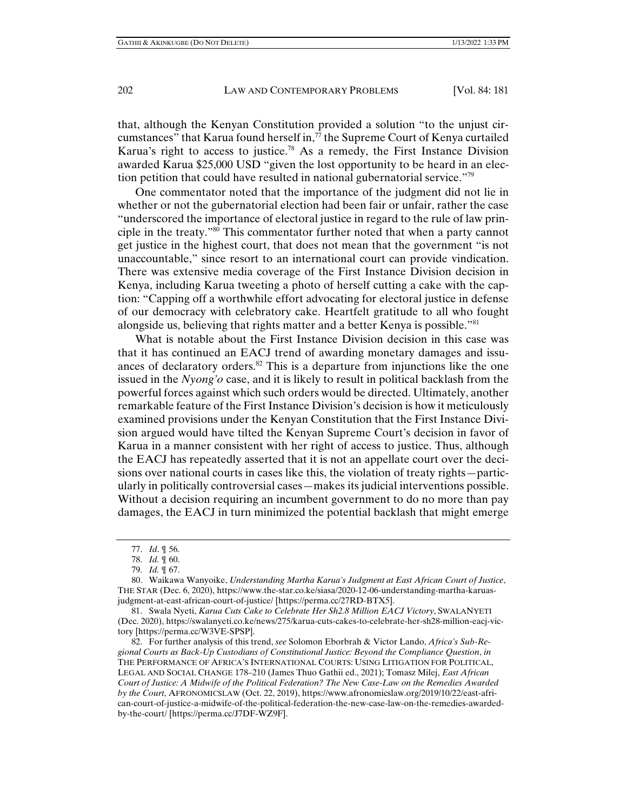that, although the Kenyan Constitution provided a solution "to the unjust circumstances" that Karua found herself in, $\bar{7}$  the Supreme Court of Kenya curtailed Karua's right to access to justice.<sup>78</sup> As a remedy, the First Instance Division awarded Karua \$25,000 USD "given the lost opportunity to be heard in an election petition that could have resulted in national gubernatorial service."79

One commentator noted that the importance of the judgment did not lie in whether or not the gubernatorial election had been fair or unfair, rather the case "underscored the importance of electoral justice in regard to the rule of law principle in the treaty."80 This commentator further noted that when a party cannot get justice in the highest court, that does not mean that the government "is not unaccountable," since resort to an international court can provide vindication. There was extensive media coverage of the First Instance Division decision in Kenya, including Karua tweeting a photo of herself cutting a cake with the caption: "Capping off a worthwhile effort advocating for electoral justice in defense of our democracy with celebratory cake. Heartfelt gratitude to all who fought alongside us, believing that rights matter and a better Kenya is possible.<sup>"81</sup>

What is notable about the First Instance Division decision in this case was that it has continued an EACJ trend of awarding monetary damages and issuances of declaratory orders. $82$  This is a departure from injunctions like the one issued in the *Nyong'o* case, and it is likely to result in political backlash from the powerful forces against which such orders would be directed. Ultimately, another remarkable feature of the First Instance Division's decision is how it meticulously examined provisions under the Kenyan Constitution that the First Instance Division argued would have tilted the Kenyan Supreme Court's decision in favor of Karua in a manner consistent with her right of access to justice. Thus, although the EACJ has repeatedly asserted that it is not an appellate court over the decisions over national courts in cases like this, the violation of treaty rights—particularly in politically controversial cases—makes its judicial interventions possible. Without a decision requiring an incumbent government to do no more than pay damages, the EACJ in turn minimized the potential backlash that might emerge

 82. For further analysis of this trend, *see* Solomon Eborbrah & Victor Lando, *Africa's Sub-Regional Courts as Back-Up Custodians of Constitutional Justice: Beyond the Compliance Question*, *in* THE PERFORMANCE OF AFRICA'S INTERNATIONAL COURTS: USING LITIGATION FOR POLITICAL, LEGAL AND SOCIAL CHANGE 178–210 (James Thuo Gathii ed., 2021); Tomasz Milej, *East African Court of Justice: A Midwife of the Political Federation? The New Case-Law on the Remedies Awarded by the Court*, AFRONOMICSLAW (Oct. 22, 2019), https://www.afronomicslaw.org/2019/10/22/east-african-court-of-justice-a-midwife-of-the-political-federation-the-new-case-law-on-the-remedies-awardedby-the-court/ [https://perma.cc/J7DF-WZ9F].

 <sup>77.</sup> *Id*. ¶ 56.

 <sup>78.</sup> *Id.* ¶ 60.

 <sup>79.</sup> *Id.* ¶ 67.

 <sup>80.</sup> Waikawa Wanyoike, *Understanding Martha Karua's Judgment at East African Court of Justice*, THE STAR (Dec. 6, 2020), https://www.the-star.co.ke/siasa/2020-12-06-understanding-martha-karuasjudgment-at-east-african-court-of-justice/ [https://perma.cc/27RD-BTX5].

 <sup>81.</sup> Swala Nyeti, *Karua Cuts Cake to Celebrate Her Sh2.8 Million EACJ Victory*, SWALANYETI (Dec. 2020), https://swalanyeti.co.ke/news/275/karua-cuts-cakes-to-celebrate-her-sh28-million-eacj-victory [https://perma.cc/W3VE-SPSP].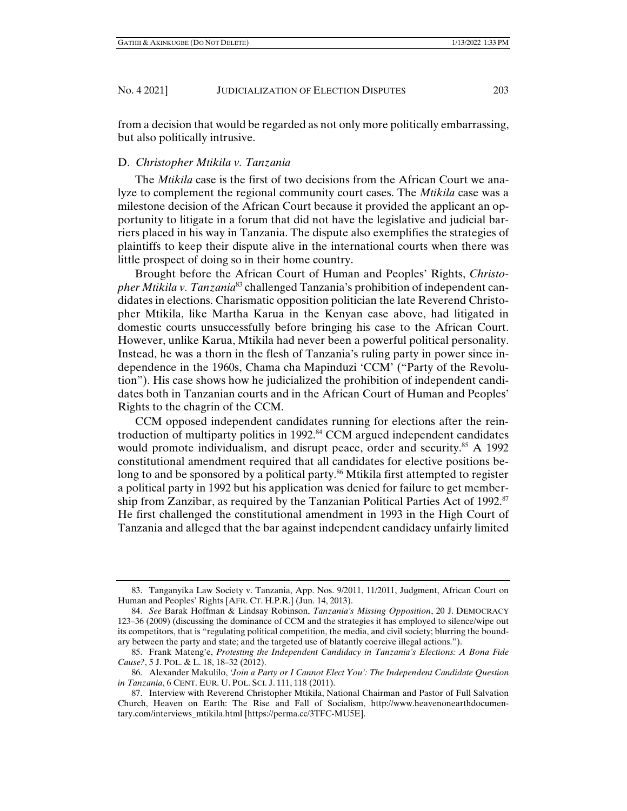from a decision that would be regarded as not only more politically embarrassing, but also politically intrusive.

#### D. *Christopher Mtikila v. Tanzania*

The *Mtikila* case is the first of two decisions from the African Court we analyze to complement the regional community court cases. The *Mtikila* case was a milestone decision of the African Court because it provided the applicant an opportunity to litigate in a forum that did not have the legislative and judicial barriers placed in his way in Tanzania. The dispute also exemplifies the strategies of plaintiffs to keep their dispute alive in the international courts when there was little prospect of doing so in their home country.

Brought before the African Court of Human and Peoples' Rights, *Christopher Mtikila v. Tanzania*<sup>83</sup> challenged Tanzania's prohibition of independent candidates in elections. Charismatic opposition politician the late Reverend Christopher Mtikila, like Martha Karua in the Kenyan case above, had litigated in domestic courts unsuccessfully before bringing his case to the African Court. However, unlike Karua, Mtikila had never been a powerful political personality. Instead, he was a thorn in the flesh of Tanzania's ruling party in power since independence in the 1960s, Chama cha Mapinduzi 'CCM' ("Party of the Revolution"). His case shows how he judicialized the prohibition of independent candidates both in Tanzanian courts and in the African Court of Human and Peoples' Rights to the chagrin of the CCM.

CCM opposed independent candidates running for elections after the reintroduction of multiparty politics in 1992.<sup>84</sup> CCM argued independent candidates would promote individualism, and disrupt peace, order and security.<sup>85</sup> A 1992 constitutional amendment required that all candidates for elective positions belong to and be sponsored by a political party.<sup>86</sup> Mtikila first attempted to register a political party in 1992 but his application was denied for failure to get membership from Zanzibar, as required by the Tanzanian Political Parties Act of 1992.<sup>87</sup> He first challenged the constitutional amendment in 1993 in the High Court of Tanzania and alleged that the bar against independent candidacy unfairly limited

 <sup>83.</sup> Tanganyika Law Society v. Tanzania, App. Nos. 9/2011, 11/2011, Judgment, African Court on Human and Peoples' Rights [AFR. CT. H.P.R.] (Jun. 14, 2013).

 <sup>84.</sup> *See* Barak Hoffman & Lindsay Robinson, *Tanzania's Missing Opposition*, 20 J. DEMOCRACY 123–36 (2009) (discussing the dominance of CCM and the strategies it has employed to silence/wipe out its competitors, that is "regulating political competition, the media, and civil society; blurring the boundary between the party and state; and the targeted use of blatantly coercive illegal actions.").

 <sup>85.</sup> Frank Mateng'e, *Protesting the Independent Candidacy in Tanzania's Elections: A Bona Fide Cause?*, 5 J. POL. & L. 18, 18–32 (2012).

 <sup>86.</sup> Alexander Makulilo, *'Join a Party or I Cannot Elect You': The Independent Candidate Question in Tanzania*, 6 CENT. EUR. U. POL. SCI. J. 111, 118 (2011).

 <sup>87.</sup> Interview with Reverend Christopher Mtikila, National Chairman and Pastor of Full Salvation Church, Heaven on Earth: The Rise and Fall of Socialism, http://www.heavenonearthdocumentary.com/interviews\_mtikila.html [https://perma.cc/3TFC-MU5E].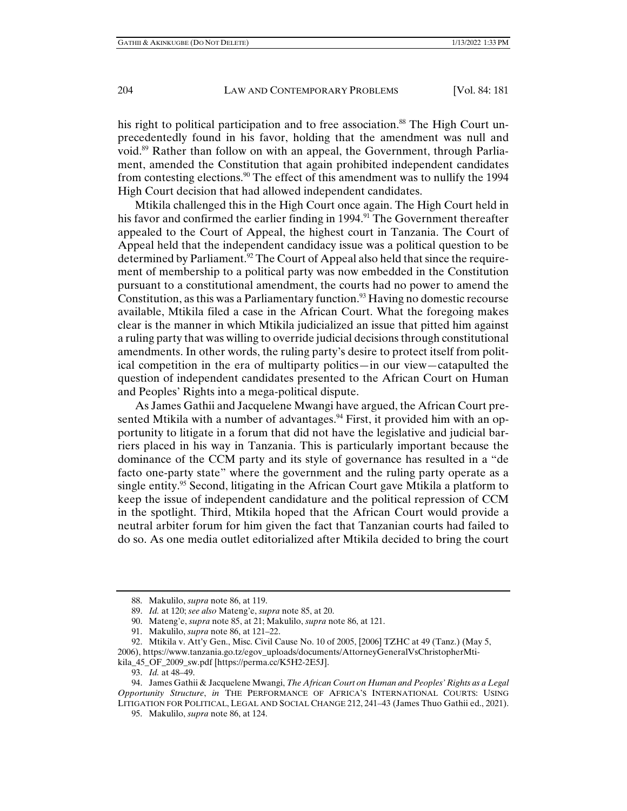his right to political participation and to free association.<sup>88</sup> The High Court unprecedentedly found in his favor, holding that the amendment was null and void.89 Rather than follow on with an appeal, the Government, through Parliament, amended the Constitution that again prohibited independent candidates from contesting elections.<sup>90</sup> The effect of this amendment was to nullify the 1994 High Court decision that had allowed independent candidates.

Mtikila challenged this in the High Court once again. The High Court held in his favor and confirmed the earlier finding in 1994.<sup>91</sup> The Government thereafter appealed to the Court of Appeal, the highest court in Tanzania. The Court of Appeal held that the independent candidacy issue was a political question to be determined by Parliament.<sup>92</sup> The Court of Appeal also held that since the requirement of membership to a political party was now embedded in the Constitution pursuant to a constitutional amendment, the courts had no power to amend the Constitution, as this was a Parliamentary function.<sup>93</sup> Having no domestic recourse available, Mtikila filed a case in the African Court. What the foregoing makes clear is the manner in which Mtikila judicialized an issue that pitted him against a ruling party that was willing to override judicial decisions through constitutional amendments. In other words, the ruling party's desire to protect itself from political competition in the era of multiparty politics—in our view—catapulted the question of independent candidates presented to the African Court on Human and Peoples' Rights into a mega-political dispute.

As James Gathii and Jacquelene Mwangi have argued, the African Court presented Mtikila with a number of advantages.<sup>94</sup> First, it provided him with an opportunity to litigate in a forum that did not have the legislative and judicial barriers placed in his way in Tanzania. This is particularly important because the dominance of the CCM party and its style of governance has resulted in a "de facto one-party state" where the government and the ruling party operate as a single entity.<sup>95</sup> Second, litigating in the African Court gave Mtikila a platform to keep the issue of independent candidature and the political repression of CCM in the spotlight. Third, Mtikila hoped that the African Court would provide a neutral arbiter forum for him given the fact that Tanzanian courts had failed to do so. As one media outlet editorialized after Mtikila decided to bring the court

 <sup>88.</sup> Makulilo, *supra* note 86, at 119.

 <sup>89.</sup> *Id.* at 120; *see also* Mateng'e, *supra* note 85, at 20.

 <sup>90.</sup> Mateng'e, *supra* note 85, at 21; Makulilo, *supra* note 86, at 121.

 <sup>91.</sup> Makulilo, *supra* note 86, at 121–22.

 <sup>92.</sup> Mtikila v. Att'y Gen., Misc. Civil Cause No. 10 of 2005, [2006] TZHC at 49 (Tanz.) (May 5, 2006), https://www.tanzania.go.tz/egov\_uploads/documents/AttorneyGeneralVsChristopherMtikila\_45\_OF\_2009\_sw.pdf [https://perma.cc/K5H2-2E5J].

 <sup>93.</sup> *Id.* at 48–49.

 <sup>94.</sup> James Gathii & Jacquelene Mwangi, *The African Court on Human and Peoples' Rights as a Legal Opportunity Structure*, *in* THE PERFORMANCE OF AFRICA'S INTERNATIONAL COURTS: USING LITIGATION FOR POLITICAL, LEGAL AND SOCIAL CHANGE 212, 241–43 (James Thuo Gathii ed., 2021).

 <sup>95.</sup> Makulilo, *supra* note 86, at 124.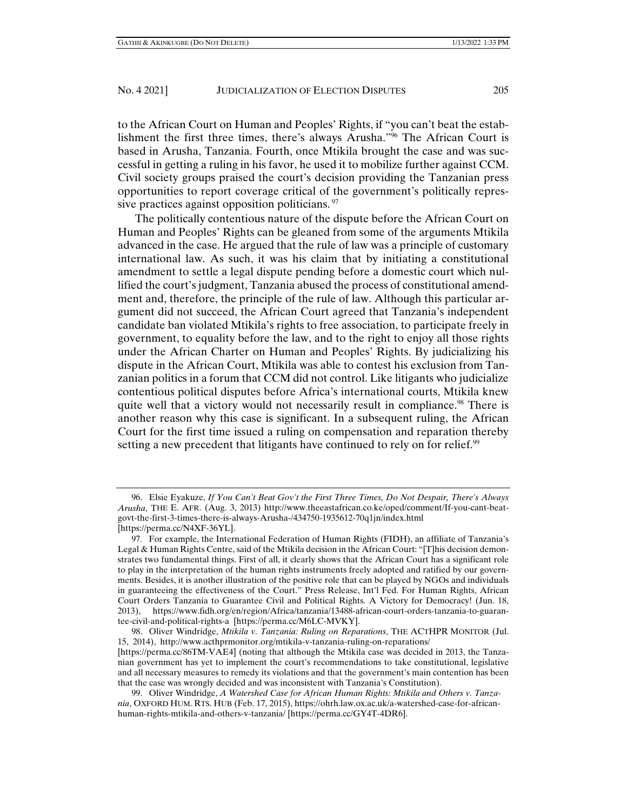to the African Court on Human and Peoples' Rights, if "you can't beat the establishment the first three times, there's always Arusha."96 The African Court is based in Arusha, Tanzania. Fourth, once Mtikila brought the case and was successful in getting a ruling in his favor, he used it to mobilize further against CCM. Civil society groups praised the court's decision providing the Tanzanian press opportunities to report coverage critical of the government's politically repressive practices against opposition politicians.<sup>97</sup>

The politically contentious nature of the dispute before the African Court on Human and Peoples' Rights can be gleaned from some of the arguments Mtikila advanced in the case. He argued that the rule of law was a principle of customary international law. As such, it was his claim that by initiating a constitutional amendment to settle a legal dispute pending before a domestic court which nullified the court's judgment, Tanzania abused the process of constitutional amendment and, therefore, the principle of the rule of law. Although this particular argument did not succeed, the African Court agreed that Tanzania's independent candidate ban violated Mtikila's rights to free association, to participate freely in government, to equality before the law, and to the right to enjoy all those rights under the African Charter on Human and Peoples' Rights. By judicializing his dispute in the African Court, Mtikila was able to contest his exclusion from Tanzanian politics in a forum that CCM did not control. Like litigants who judicialize contentious political disputes before Africa's international courts, Mtikila knew quite well that a victory would not necessarily result in compliance.<sup>98</sup> There is another reason why this case is significant. In a subsequent ruling, the African Court for the first time issued a ruling on compensation and reparation thereby setting a new precedent that litigants have continued to rely on for relief.<sup>99</sup>

 99. Oliver Windridge, *A Watershed Case for African Human Rights: Mtikila and Others v. Tanzania*, OXFORD HUM. RTS. HUB (Feb. 17, 2015), https://ohrh.law.ox.ac.uk/a-watershed-case-for-africanhuman-rights-mtikila-and-others-v-tanzania/ [https://perma.cc/GY4T-4DR6].

 <sup>96.</sup> Elsie Eyakuze, *If You Can't Beat Gov't the First Three Times, Do Not Despair, There's Always Arusha*, THE E. AFR. (Aug. 3, 2013) http://www.theeastafrican.co.ke/oped/comment/If-you-cant-beatgovt-the-first-3-times-there-is-always-Arusha-/434750-1935612-70q1jn/index.html [https://perma.cc/N4XF-36YL].

<sup>97</sup>*.* For example, the International Federation of Human Rights (FIDH), an affiliate of Tanzania's Legal & Human Rights Centre, said of the Mtikila decision in the African Court: "[T]his decision demonstrates two fundamental things. First of all, it clearly shows that the African Court has a significant role to play in the interpretation of the human rights instruments freely adopted and ratified by our governments. Besides, it is another illustration of the positive role that can be played by NGOs and individuals in guaranteeing the effectiveness of the Court." Press Release, Int'l Fed. For Human Rights, African Court Orders Tanzania to Guarantee Civil and Political Rights. A Victory for Democracy! (Jun. 18, 2013), https://www.fidh.org/en/region/Africa/tanzania/13488-african-court-orders-tanzania-to-guarantee-civil-and-political-rights-a [https://perma.cc/M6LC-MVKY].

 <sup>98.</sup> Oliver Windridge, *Mtikila v. Tanzania: Ruling on Reparations*, THE ACTHPR MONITOR (Jul. 15, 2014), http://www.acthprmonitor.org/mtikila-v-tanzania-ruling-on-reparations/

<sup>[</sup>https://perma.cc/86TM-VAE4] (noting that although the Mtikila case was decided in 2013, the Tanzanian government has yet to implement the court's recommendations to take constitutional, legislative and all necessary measures to remedy its violations and that the government's main contention has been that the case was wrongly decided and was inconsistent with Tanzania's Constitution).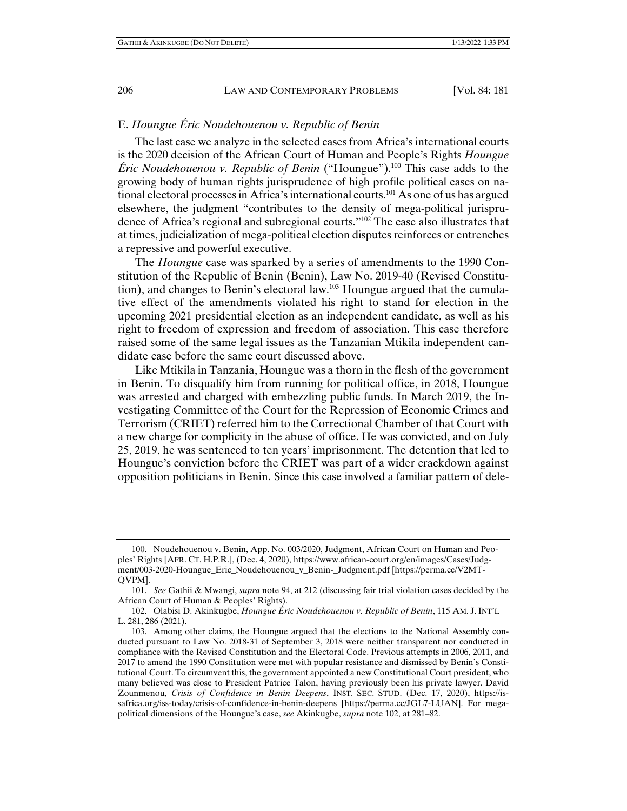## E. *Houngue Éric Noudehouenou v. Republic of Benin*

The last case we analyze in the selected cases from Africa's international courts is the 2020 decision of the African Court of Human and People's Rights *Houngue Éric Noudehouenou v. Republic of Benin* ("Houngue").100 This case adds to the growing body of human rights jurisprudence of high profile political cases on national electoral processes in Africa's international courts.<sup>101</sup> As one of us has argued elsewhere, the judgment "contributes to the density of mega-political jurisprudence of Africa's regional and subregional courts."102 The case also illustrates that at times, judicialization of mega-political election disputes reinforces or entrenches a repressive and powerful executive.

The *Houngue* case was sparked by a series of amendments to the 1990 Constitution of the Republic of Benin (Benin), Law No. 2019-40 (Revised Constitution), and changes to Benin's electoral law.103 Houngue argued that the cumulative effect of the amendments violated his right to stand for election in the upcoming 2021 presidential election as an independent candidate, as well as his right to freedom of expression and freedom of association. This case therefore raised some of the same legal issues as the Tanzanian Mtikila independent candidate case before the same court discussed above.

Like Mtikila in Tanzania, Houngue was a thorn in the flesh of the government in Benin. To disqualify him from running for political office, in 2018, Houngue was arrested and charged with embezzling public funds. In March 2019, the Investigating Committee of the Court for the Repression of Economic Crimes and Terrorism (CRIET) referred him to the Correctional Chamber of that Court with a new charge for complicity in the abuse of office. He was convicted, and on July 25, 2019, he was sentenced to ten years' imprisonment. The detention that led to Houngue's conviction before the CRIET was part of a wider crackdown against opposition politicians in Benin. Since this case involved a familiar pattern of dele-

 <sup>100.</sup> Noudehouenou v. Benin, App. No. 003/2020, Judgment, African Court on Human and Peoples' Rights [AFR. CT. H.P.R.], (Dec. 4, 2020), https://www.african-court.org/en/images/Cases/Judgment/003-2020-Houngue\_Eric\_Noudehouenou\_v\_Benin-\_Judgment.pdf [https://perma.cc/V2MT-QVPM].

 <sup>101.</sup> *See* Gathii & Mwangi, *supra* note 94, at 212 (discussing fair trial violation cases decided by the African Court of Human & Peoples' Rights).

 <sup>102.</sup> Olabisi D. Akinkugbe, *Houngue Éric Noudehouenou v. Republic of Benin*, 115 AM. J. INT'L L. 281, 286 (2021).

 <sup>103.</sup> Among other claims, the Houngue argued that the elections to the National Assembly conducted pursuant to Law No. 2018-31 of September 3, 2018 were neither transparent nor conducted in compliance with the Revised Constitution and the Electoral Code. Previous attempts in 2006, 2011, and 2017 to amend the 1990 Constitution were met with popular resistance and dismissed by Benin's Constitutional Court. To circumvent this, the government appointed a new Constitutional Court president, who many believed was close to President Patrice Talon, having previously been his private lawyer. David Zounmenou, *Crisis of Confidence in Benin Deepens*, INST. SEC. STUD. (Dec. 17, 2020), https://issafrica.org/iss-today/crisis-of-confidence-in-benin-deepens [https://perma.cc/JGL7-LUAN]. For megapolitical dimensions of the Houngue's case, *see* Akinkugbe, *supra* note 102, at 281–82.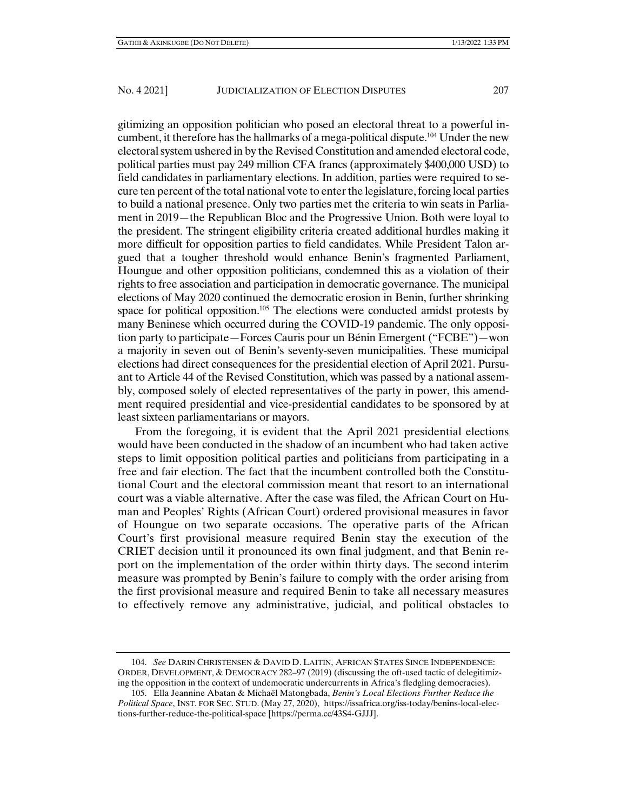gitimizing an opposition politician who posed an electoral threat to a powerful incumbent, it therefore has the hallmarks of a mega-political dispute.104 Under the new electoral system ushered in by the Revised Constitution and amended electoral code, political parties must pay 249 million CFA francs (approximately \$400,000 USD) to field candidates in parliamentary elections. In addition, parties were required to secure ten percent of the total national vote to enter the legislature, forcing local parties to build a national presence. Only two parties met the criteria to win seats in Parliament in 2019—the Republican Bloc and the Progressive Union. Both were loyal to the president. The stringent eligibility criteria created additional hurdles making it more difficult for opposition parties to field candidates. While President Talon argued that a tougher threshold would enhance Benin's fragmented Parliament, Houngue and other opposition politicians, condemned this as a violation of their rights to free association and participation in democratic governance. The municipal

elections of May 2020 continued the democratic erosion in Benin, further shrinking space for political opposition.<sup>105</sup> The elections were conducted amidst protests by many Beninese which occurred during the COVID-19 pandemic. The only opposition party to participate—Forces Cauris pour un Bénin Emergent ("FCBE")—won a majority in seven out of Benin's seventy-seven municipalities. These municipal elections had direct consequences for the presidential election of April 2021. Pursuant to Article 44 of the Revised Constitution, which was passed by a national assembly, composed solely of elected representatives of the party in power, this amendment required presidential and vice-presidential candidates to be sponsored by at least sixteen parliamentarians or mayors.

From the foregoing, it is evident that the April 2021 presidential elections would have been conducted in the shadow of an incumbent who had taken active steps to limit opposition political parties and politicians from participating in a free and fair election. The fact that the incumbent controlled both the Constitutional Court and the electoral commission meant that resort to an international court was a viable alternative. After the case was filed, the African Court on Human and Peoples' Rights (African Court) ordered provisional measures in favor of Houngue on two separate occasions. The operative parts of the African Court's first provisional measure required Benin stay the execution of the CRIET decision until it pronounced its own final judgment, and that Benin report on the implementation of the order within thirty days. The second interim measure was prompted by Benin's failure to comply with the order arising from the first provisional measure and required Benin to take all necessary measures to effectively remove any administrative, judicial, and political obstacles to

 <sup>104.</sup> *See* DARIN CHRISTENSEN & DAVID D. LAITIN, AFRICAN STATES SINCE INDEPENDENCE: ORDER, DEVELOPMENT, & DEMOCRACY 282–97 (2019) (discussing the oft-used tactic of delegitimizing the opposition in the context of undemocratic undercurrents in Africa's fledgling democracies).

 <sup>105.</sup> Ella Jeannine Abatan & Michaël Matongbada, *Benin's Local Elections Further Reduce the Political Space*, INST. FOR SEC. STUD. (May 27, 2020), https://issafrica.org/iss-today/benins-local-elections-further-reduce-the-political-space [https://perma.cc/43S4-GJJJ].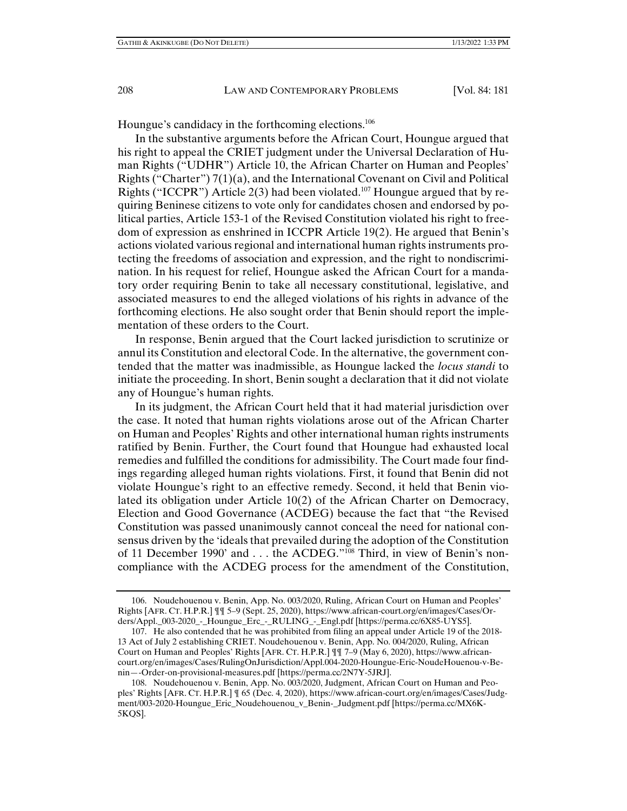Houngue's candidacy in the forthcoming elections.106

In the substantive arguments before the African Court, Houngue argued that his right to appeal the CRIET judgment under the Universal Declaration of Human Rights ("UDHR") Article 10, the African Charter on Human and Peoples' Rights ("Charter")  $7(1)(a)$ , and the International Covenant on Civil and Political Rights ("ICCPR") Article 2(3) had been violated.<sup>107</sup> Houngue argued that by requiring Beninese citizens to vote only for candidates chosen and endorsed by political parties, Article 153-1 of the Revised Constitution violated his right to freedom of expression as enshrined in ICCPR Article 19(2). He argued that Benin's actions violated various regional and international human rights instruments protecting the freedoms of association and expression, and the right to nondiscrimination. In his request for relief, Houngue asked the African Court for a mandatory order requiring Benin to take all necessary constitutional, legislative, and associated measures to end the alleged violations of his rights in advance of the forthcoming elections. He also sought order that Benin should report the implementation of these orders to the Court.

In response, Benin argued that the Court lacked jurisdiction to scrutinize or annul its Constitution and electoral Code. In the alternative, the government contended that the matter was inadmissible, as Houngue lacked the *locus standi* to initiate the proceeding. In short, Benin sought a declaration that it did not violate any of Houngue's human rights.

In its judgment, the African Court held that it had material jurisdiction over the case. It noted that human rights violations arose out of the African Charter on Human and Peoples' Rights and other international human rights instruments ratified by Benin. Further, the Court found that Houngue had exhausted local remedies and fulfilled the conditions for admissibility. The Court made four findings regarding alleged human rights violations. First, it found that Benin did not violate Houngue's right to an effective remedy. Second, it held that Benin violated its obligation under Article 10(2) of the African Charter on Democracy, Election and Good Governance (ACDEG) because the fact that "the Revised Constitution was passed unanimously cannot conceal the need for national consensus driven by the 'ideals that prevailed during the adoption of the Constitution of 11 December 1990' and . . . the ACDEG."108 Third, in view of Benin's noncompliance with the ACDEG process for the amendment of the Constitution,

 <sup>106.</sup> Noudehouenou v. Benin, App. No. 003/2020, Ruling, African Court on Human and Peoples' Rights [AFR. CT. H.P.R.] ¶¶ 5–9 (Sept. 25, 2020), https://www.african-court.org/en/images/Cases/Orders/Appl.\_003-2020\_-\_Houngue\_Erc\_-\_RULING\_-\_Engl.pdf [https://perma.cc/6X85-UYS5].

 <sup>107.</sup> He also contended that he was prohibited from filing an appeal under Article 19 of the 2018- 13 Act of July 2 establishing CRIET. Noudehouenou v. Benin, App. No. 004/2020, Ruling, African Court on Human and Peoples' Rights [AFR. CT. H.P.R.] ¶¶ 7–9 (May 6, 2020), https://www.africancourt.org/en/images/Cases/RulingOnJurisdiction/Appl.004-2020-Houngue-Eric-NoudeHouenou-v-Benin—-Order-on-provisional-measures.pdf [https://perma.cc/2N7Y-5JRJ].

 <sup>108.</sup> Noudehouenou v. Benin, App. No. 003/2020, Judgment, African Court on Human and Peoples' Rights [AFR. CT. H.P.R.] ¶ 65 (Dec. 4, 2020), https://www.african-court.org/en/images/Cases/Judgment/003-2020-Houngue\_Eric\_Noudehouenou\_v\_Benin-\_Judgment.pdf [https://perma.cc/MX6K-5KQS].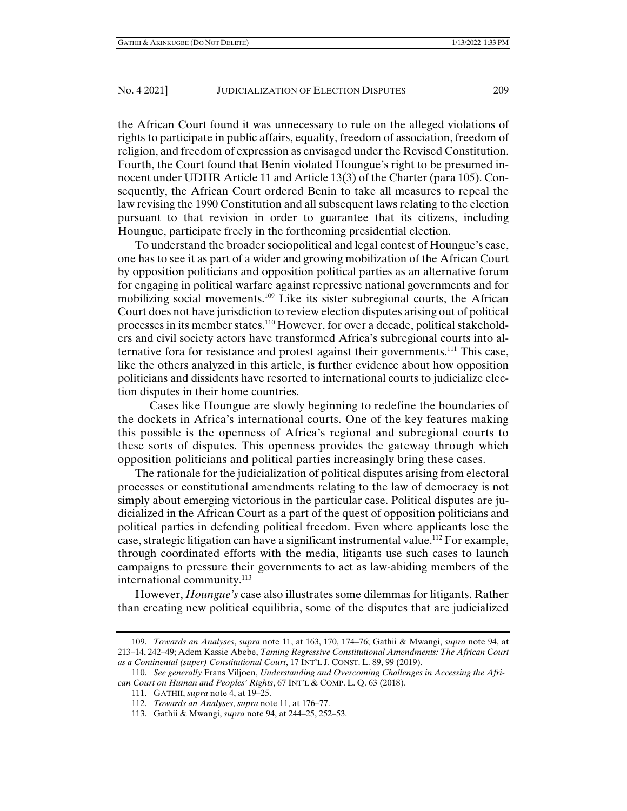the African Court found it was unnecessary to rule on the alleged violations of rights to participate in public affairs, equality, freedom of association, freedom of religion, and freedom of expression as envisaged under the Revised Constitution. Fourth, the Court found that Benin violated Houngue's right to be presumed innocent under UDHR Article 11 and Article 13(3) of the Charter (para 105). Consequently, the African Court ordered Benin to take all measures to repeal the law revising the 1990 Constitution and all subsequent laws relating to the election pursuant to that revision in order to guarantee that its citizens, including Houngue, participate freely in the forthcoming presidential election.

To understand the broader sociopolitical and legal contest of Houngue's case, one has to see it as part of a wider and growing mobilization of the African Court by opposition politicians and opposition political parties as an alternative forum for engaging in political warfare against repressive national governments and for mobilizing social movements.109 Like its sister subregional courts, the African Court does not have jurisdiction to review election disputes arising out of political processes in its member states.110 However, for over a decade, political stakeholders and civil society actors have transformed Africa's subregional courts into alternative fora for resistance and protest against their governments.111 This case, like the others analyzed in this article, is further evidence about how opposition politicians and dissidents have resorted to international courts to judicialize election disputes in their home countries.

 Cases like Houngue are slowly beginning to redefine the boundaries of the dockets in Africa's international courts. One of the key features making this possible is the openness of Africa's regional and subregional courts to these sorts of disputes. This openness provides the gateway through which opposition politicians and political parties increasingly bring these cases.

The rationale for the judicialization of political disputes arising from electoral processes or constitutional amendments relating to the law of democracy is not simply about emerging victorious in the particular case. Political disputes are judicialized in the African Court as a part of the quest of opposition politicians and political parties in defending political freedom. Even where applicants lose the case, strategic litigation can have a significant instrumental value.<sup>112</sup> For example, through coordinated efforts with the media, litigants use such cases to launch campaigns to pressure their governments to act as law-abiding members of the international community.<sup>113</sup>

However, *Houngue's* case also illustrates some dilemmas for litigants. Rather than creating new political equilibria, some of the disputes that are judicialized

 <sup>109.</sup> *Towards an Analyses*, *supra* note 11, at 163, 170, 174–76; Gathii & Mwangi, *supra* note 94, at 213–14, 242–49; Adem Kassie Abebe, *Taming Regressive Constitutional Amendments: The African Court as a Continental (super) Constitutional Court*, 17 INT'L J. CONST. L. 89, 99 (2019).

 <sup>110.</sup> *See generally* Frans Viljoen, *Understanding and Overcoming Challenges in Accessing the African Court on Human and Peoples' Rights*, 67 INT'L & COMP. L. Q. 63 (2018).

 <sup>111.</sup> GATHII, *supra* note 4, at 19–25.

 <sup>112.</sup> *Towards an Analyses*, *supra* note 11, at 176–77.

 <sup>113.</sup> Gathii & Mwangi, *supra* note 94, at 244–25, 252–53.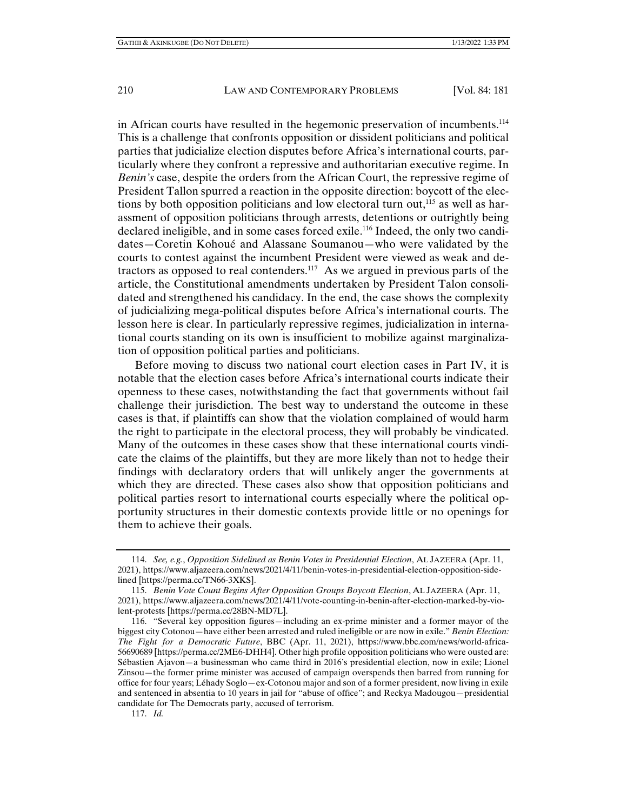in African courts have resulted in the hegemonic preservation of incumbents.114 This is a challenge that confronts opposition or dissident politicians and political parties that judicialize election disputes before Africa's international courts, particularly where they confront a repressive and authoritarian executive regime. In *Benin's* case, despite the orders from the African Court, the repressive regime of President Tallon spurred a reaction in the opposite direction: boycott of the elections by both opposition politicians and low electoral turn out,<sup>115</sup> as well as harassment of opposition politicians through arrests, detentions or outrightly being declared ineligible, and in some cases forced exile.<sup>116</sup> Indeed, the only two candidates—Coretin Kohoué and Alassane Soumanou—who were validated by the courts to contest against the incumbent President were viewed as weak and detractors as opposed to real contenders.117 As we argued in previous parts of the article, the Constitutional amendments undertaken by President Talon consolidated and strengthened his candidacy. In the end, the case shows the complexity of judicializing mega-political disputes before Africa's international courts. The lesson here is clear. In particularly repressive regimes, judicialization in international courts standing on its own is insufficient to mobilize against marginalization of opposition political parties and politicians.

Before moving to discuss two national court election cases in Part IV, it is notable that the election cases before Africa's international courts indicate their openness to these cases, notwithstanding the fact that governments without fail challenge their jurisdiction. The best way to understand the outcome in these cases is that, if plaintiffs can show that the violation complained of would harm the right to participate in the electoral process, they will probably be vindicated. Many of the outcomes in these cases show that these international courts vindicate the claims of the plaintiffs, but they are more likely than not to hedge their findings with declaratory orders that will unlikely anger the governments at which they are directed. These cases also show that opposition politicians and political parties resort to international courts especially where the political opportunity structures in their domestic contexts provide little or no openings for them to achieve their goals.

 <sup>114.</sup> *See, e.g.*, *Opposition Sidelined as Benin Votes in Presidential Election*, AL JAZEERA (Apr. 11, 2021), https://www.aljazeera.com/news/2021/4/11/benin-votes-in-presidential-election-opposition-sidelined [https://perma.cc/TN66-3XKS].

 <sup>115.</sup> *Benin Vote Count Begins After Opposition Groups Boycott Election*, AL JAZEERA (Apr. 11, 2021), https://www.aljazeera.com/news/2021/4/11/vote-counting-in-benin-after-election-marked-by-violent-protests [https://perma.cc/28BN-MD7L].

 <sup>116. &</sup>quot;Several key opposition figures—including an ex-prime minister and a former mayor of the biggest city Cotonou—have either been arrested and ruled ineligible or are now in exile." *Benin Election: The Fight for a Democratic Future*, BBC (Apr. 11, 2021), https://www.bbc.com/news/world-africa-56690689 [https://perma.cc/2ME6-DHH4]. Other high profile opposition politicians who were ousted are: Sébastien Ajavon—a businessman who came third in 2016's presidential election, now in exile; Lionel Zinsou—the former prime minister was accused of campaign overspends then barred from running for office for four years; Léhady Soglo—ex-Cotonou major and son of a former president, now living in exile and sentenced in absentia to 10 years in jail for "abuse of office"; and Reckya Madougou—presidential candidate for The Democrats party, accused of terrorism.

 <sup>117.</sup> *Id.*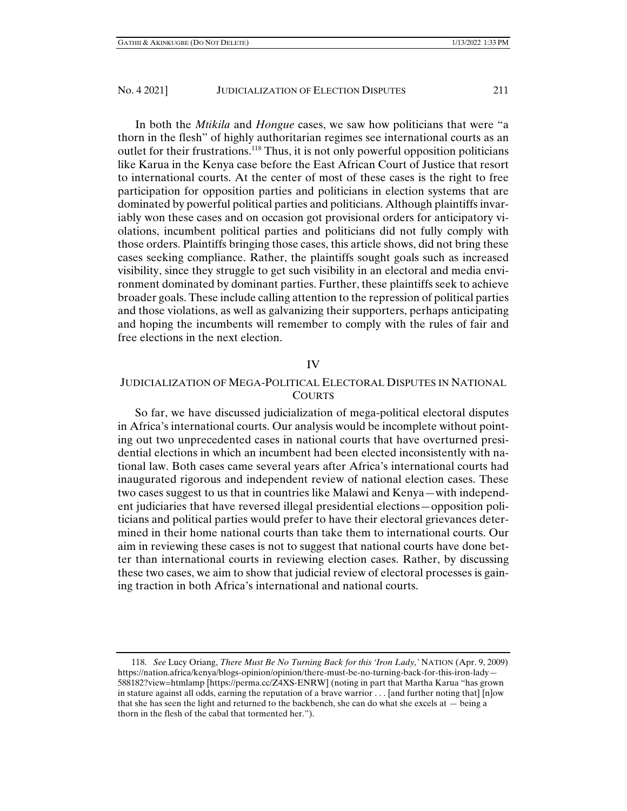In both the *Mtikila* and *Hongue* cases, we saw how politicians that were "a thorn in the flesh" of highly authoritarian regimes see international courts as an outlet for their frustrations.<sup>118</sup> Thus, it is not only powerful opposition politicians like Karua in the Kenya case before the East African Court of Justice that resort to international courts. At the center of most of these cases is the right to free participation for opposition parties and politicians in election systems that are dominated by powerful political parties and politicians. Although plaintiffs invariably won these cases and on occasion got provisional orders for anticipatory violations, incumbent political parties and politicians did not fully comply with those orders. Plaintiffs bringing those cases, this article shows, did not bring these cases seeking compliance. Rather, the plaintiffs sought goals such as increased visibility, since they struggle to get such visibility in an electoral and media environment dominated by dominant parties. Further, these plaintiffs seek to achieve broader goals. These include calling attention to the repression of political parties and those violations, as well as galvanizing their supporters, perhaps anticipating and hoping the incumbents will remember to comply with the rules of fair and free elections in the next election.

#### IV

## JUDICIALIZATION OF MEGA-POLITICAL ELECTORAL DISPUTES IN NATIONAL COURTS

So far, we have discussed judicialization of mega-political electoral disputes in Africa's international courts. Our analysis would be incomplete without pointing out two unprecedented cases in national courts that have overturned presidential elections in which an incumbent had been elected inconsistently with national law. Both cases came several years after Africa's international courts had inaugurated rigorous and independent review of national election cases. These two cases suggest to us that in countries like Malawi and Kenya—with independent judiciaries that have reversed illegal presidential elections—opposition politicians and political parties would prefer to have their electoral grievances determined in their home national courts than take them to international courts. Our aim in reviewing these cases is not to suggest that national courts have done better than international courts in reviewing election cases. Rather, by discussing these two cases, we aim to show that judicial review of electoral processes is gaining traction in both Africa's international and national courts.

 <sup>118.</sup> *See* Lucy Oriang, *There Must Be No Turning Back for this 'Iron Lady,'* NATION (Apr. 9, 2009) https://nation.africa/kenya/blogs-opinion/opinion/there-must-be-no-turning-back-for-this-iron-lady— 588182?view=htmlamp [https://perma.cc/Z4XS-ENRW] (noting in part that Martha Karua "has grown in stature against all odds, earning the reputation of a brave warrior . . . [and further noting that] [n]ow that she has seen the light and returned to the backbench, she can do what she excels at — being a thorn in the flesh of the cabal that tormented her.").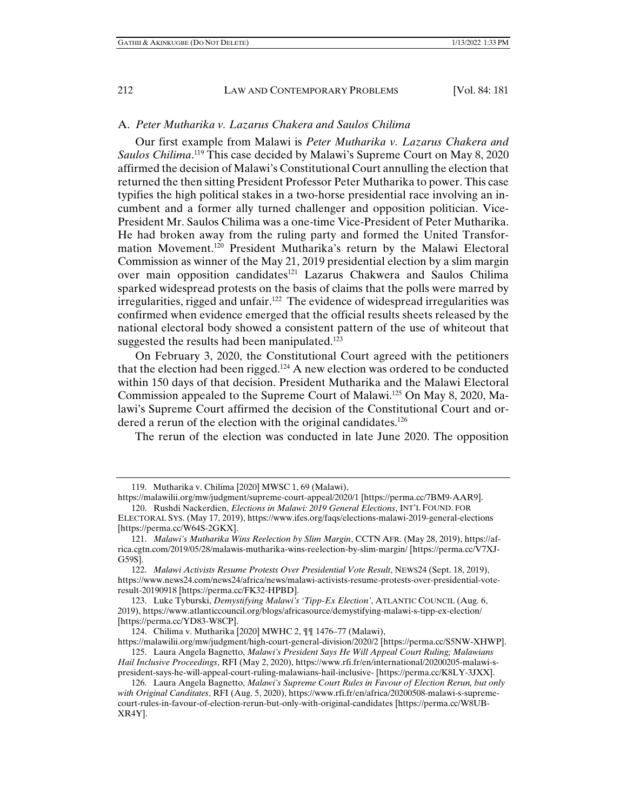#### A. *Peter Mutharika v. Lazarus Chakera and Saulos Chilima*

Our first example from Malawi is *Peter Mutharika v. Lazarus Chakera and*  Saulos Chilima.<sup>119</sup> This case decided by Malawi's Supreme Court on May 8, 2020 affirmed the decision of Malawi's Constitutional Court annulling the election that returned the then sitting President Professor Peter Mutharika to power. This case typifies the high political stakes in a two-horse presidential race involving an incumbent and a former ally turned challenger and opposition politician. Vice-President Mr. Saulos Chilima was a one-time Vice-President of Peter Mutharika. He had broken away from the ruling party and formed the United Transformation Movement.120 President Mutharika's return by the Malawi Electoral Commission as winner of the May 21, 2019 presidential election by a slim margin over main opposition candidates<sup>121</sup> Lazarus Chakwera and Saulos Chilima sparked widespread protests on the basis of claims that the polls were marred by irregularities, rigged and unfair.122 The evidence of widespread irregularities was confirmed when evidence emerged that the official results sheets released by the national electoral body showed a consistent pattern of the use of whiteout that suggested the results had been manipulated.<sup>123</sup>

On February 3, 2020, the Constitutional Court agreed with the petitioners that the election had been rigged.124 A new election was ordered to be conducted within 150 days of that decision. President Mutharika and the Malawi Electoral Commission appealed to the Supreme Court of Malawi.125 On May 8, 2020, Malawi's Supreme Court affirmed the decision of the Constitutional Court and ordered a rerun of the election with the original candidates.<sup>126</sup>

The rerun of the election was conducted in late June 2020. The opposition

 122. *Malawi Activists Resume Protests Over Presidential Vote Result*, NEWS24 (Sept. 18, 2019), https://www.news24.com/news24/africa/news/malawi-activists-resume-protests-over-presidential-voteresult-20190918 [https://perma.cc/FK32-HPBD].

 123. Luke Tyburski, *Demystifying Malawi's 'Tipp-Ex Election'*, ATLANTIC COUNCIL (Aug. 6, 2019), https://www.atlanticcouncil.org/blogs/africasource/demystifying-malawi-s-tipp-ex-election/ [https://perma.cc/YD83-W8CP].

124. Chilima v. Mutharika [2020] MWHC 2, ¶¶ 1476–77 (Malawi),

https://malawilii.org/mw/judgment/high-court-general-division/2020/2 [https://perma.cc/S5NW-XHWP]. 125. Laura Angela Bagnetto, *Malawi's President Says He Will Appeal Court Ruling; Malawians Hail Inclusive Proceedings*, RFI (May 2, 2020), https://www.rfi.fr/en/international/20200205-malawi-s-

president-says-he-will-appeal-court-ruling-malawians-hail-inclusive- [https://perma.cc/K8LY-3JXX].

 <sup>119.</sup> Mutharika v. Chilima [2020] MWSC 1, 69 (Malawi),

https://malawilii.org/mw/judgment/supreme-court-appeal/2020/1 [https://perma.cc/7BM9-AAR9]. 120. Rushdi Nackerdien, *Elections in Malawi: 2019 General Elections*, INT'L FOUND. FOR

ELECTORAL SYS. (May 17, 2019), https://www.ifes.org/faqs/elections-malawi-2019-general-elections [https://perma.cc/W64S-2GKX].

 <sup>121.</sup> *Malawi's Mutharika Wins Reelection by Slim Margin*, CCTN AFR. (May 28, 2019), https://africa.cgtn.com/2019/05/28/malawis-mutharika-wins-reelection-by-slim-margin/ [https://perma.cc/V7XJ-G59S].

 <sup>126.</sup> Laura Angela Bagnetto, *Malawi's Supreme Court Rules in Favour of Election Rerun, but only with Original Canditates*, RFI (Aug. 5, 2020), https://www.rfi.fr/en/africa/20200508-malawi-s-supremecourt-rules-in-favour-of-election-rerun-but-only-with-original-candidates [https://perma.cc/W8UB-XR4Y].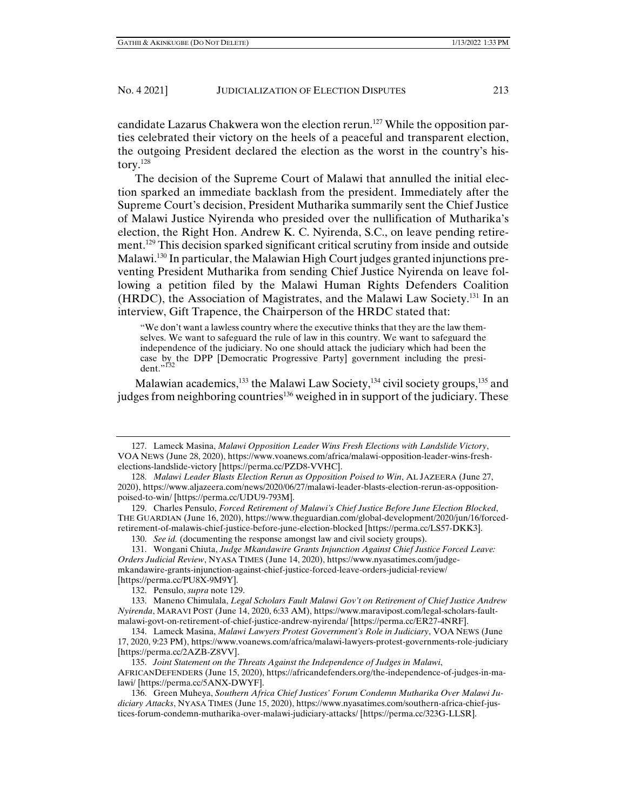candidate Lazarus Chakwera won the election rerun.<sup>127</sup> While the opposition parties celebrated their victory on the heels of a peaceful and transparent election, the outgoing President declared the election as the worst in the country's history. $128$ 

The decision of the Supreme Court of Malawi that annulled the initial election sparked an immediate backlash from the president. Immediately after the Supreme Court's decision, President Mutharika summarily sent the Chief Justice of Malawi Justice Nyirenda who presided over the nullification of Mutharika's election, the Right Hon. Andrew K. C. Nyirenda, S.C., on leave pending retirement.129 This decision sparked significant critical scrutiny from inside and outside Malawi.130 In particular, the Malawian High Court judges granted injunctions preventing President Mutharika from sending Chief Justice Nyirenda on leave following a petition filed by the Malawi Human Rights Defenders Coalition (HRDC), the Association of Magistrates, and the Malawi Law Society.131 In an interview, Gift Trapence, the Chairperson of the HRDC stated that:

"We don't want a lawless country where the executive thinks that they are the law themselves. We want to safeguard the rule of law in this country. We want to safeguard the independence of the judiciary. No one should attack the judiciary which had been the case by the DPP [Democratic Progressive Party] government including the president."<sup>132</sup>

Malawian academics,  $^{133}$  the Malawi Law Society,  $^{134}$  civil society groups,  $^{135}$  and judges from neighboring countries<sup>136</sup> weighed in in support of the judiciary. These

130. *See id.* (documenting the response amongst law and civil society groups).

 <sup>127.</sup> Lameck Masina, *Malawi Opposition Leader Wins Fresh Elections with Landslide Victory*, VOA NEWS (June 28, 2020), https://www.voanews.com/africa/malawi-opposition-leader-wins-freshelections-landslide-victory [https://perma.cc/PZD8-VVHC].

 <sup>128.</sup> *Malawi Leader Blasts Election Rerun as Opposition Poised to Win*, AL JAZEERA (June 27, 2020), https://www.aljazeera.com/news/2020/06/27/malawi-leader-blasts-election-rerun-as-oppositionpoised-to-win/ [https://perma.cc/UDU9-793M].

 <sup>129.</sup> Charles Pensulo, *Forced Retirement of Malawi's Chief Justice Before June Election Blocked*, THE GUARDIAN (June 16, 2020), https://www.theguardian.com/global-development/2020/jun/16/forcedretirement-of-malawis-chief-justice-before-june-election-blocked [https://perma.cc/LS57-DKK3].

 <sup>131.</sup> Wongani Chiuta, *Judge Mkandawire Grants Injunction Against Chief Justice Forced Leave: Orders Judicial Review*, NYASA TIMES (June 14, 2020), https://www.nyasatimes.com/judgemkandawire-grants-injunction-against-chief-justice-forced-leave-orders-judicial-review/ [https://perma.cc/PU8X-9M9Y].

 <sup>132.</sup> Pensulo, *supra* note 129.

 <sup>133.</sup> Maneno Chimulala, *Legal Scholars Fault Malawi Gov't on Retirement of Chief Justice Andrew Nyirenda*, MARAVI POST (June 14, 2020, 6:33 AM), https://www.maravipost.com/legal-scholars-faultmalawi-govt-on-retirement-of-chief-justice-andrew-nyirenda/ [https://perma.cc/ER27-4NRF].

 <sup>134.</sup> Lameck Masina, *Malawi Lawyers Protest Government's Role in Judiciary*, VOA NEWS (June 17, 2020, 9:23 PM), https://www.voanews.com/africa/malawi-lawyers-protest-governments-role-judiciary [https://perma.cc/2AZB-Z8VV].

 <sup>135.</sup> *Joint Statement on the Threats Against the Independence of Judges in Malawi*, AFRICANDEFENDERS (June 15, 2020), https://africandefenders.org/the-independence-of-judges-in-malawi/ [https://perma.cc/5ANX-DWYF].

 <sup>136.</sup> Green Muheya, *Southern Africa Chief Justices' Forum Condemn Mutharika Over Malawi Judiciary Attacks*, NYASA TIMES (June 15, 2020), https://www.nyasatimes.com/southern-africa-chief-justices-forum-condemn-mutharika-over-malawi-judiciary-attacks/ [https://perma.cc/323G-LLSR].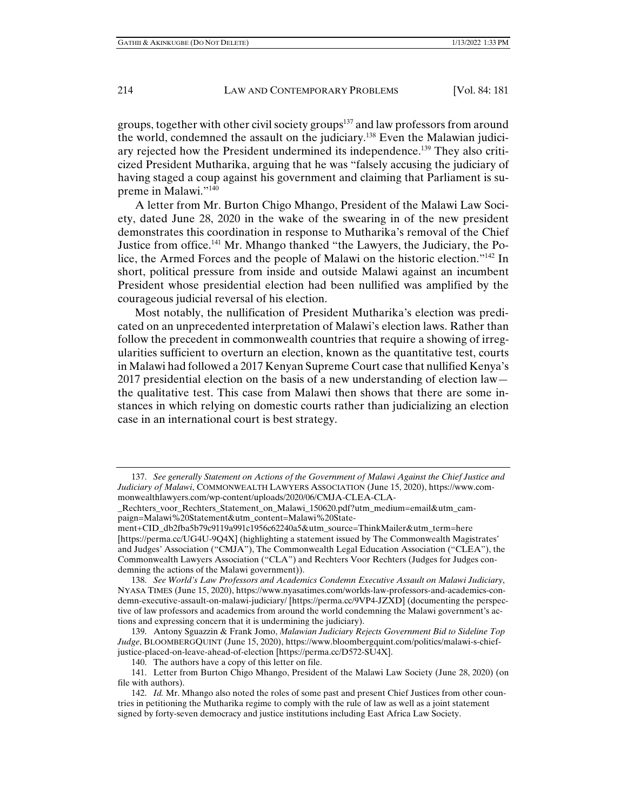groups, together with other civil society groups<sup>137</sup> and law professors from around the world, condemned the assault on the judiciary.138 Even the Malawian judiciary rejected how the President undermined its independence.139 They also criticized President Mutharika, arguing that he was "falsely accusing the judiciary of having staged a coup against his government and claiming that Parliament is supreme in Malawi."140

A letter from Mr. Burton Chigo Mhango, President of the Malawi Law Society, dated June 28, 2020 in the wake of the swearing in of the new president demonstrates this coordination in response to Mutharika's removal of the Chief Justice from office.141 Mr. Mhango thanked "the Lawyers, the Judiciary, the Police, the Armed Forces and the people of Malawi on the historic election."142 In short, political pressure from inside and outside Malawi against an incumbent President whose presidential election had been nullified was amplified by the courageous judicial reversal of his election.

Most notably, the nullification of President Mutharika's election was predicated on an unprecedented interpretation of Malawi's election laws. Rather than follow the precedent in commonwealth countries that require a showing of irregularities sufficient to overturn an election, known as the quantitative test, courts in Malawi had followed a 2017 Kenyan Supreme Court case that nullified Kenya's 2017 presidential election on the basis of a new understanding of election law the qualitative test. This case from Malawi then shows that there are some instances in which relying on domestic courts rather than judicializing an election case in an international court is best strategy.

ment+CID\_db2fba5b79c9119a991c1956c62240a5&utm\_source=ThinkMailer&utm\_term=here [https://perma.cc/UG4U-9Q4X] (highlighting a statement issued by The Commonwealth Magistrates' and Judges' Association ("CMJA"), The Commonwealth Legal Education Association ("CLEA"), the Commonwealth Lawyers Association ("CLA") and Rechters Voor Rechters (Judges for Judges condemning the actions of the Malawi government)).

 138. *See World's Law Professors and Academics Condemn Executive Assault on Malawi Judiciary*, NYASA TIMES (June 15, 2020), https://www.nyasatimes.com/worlds-law-professors-and-academics-condemn-executive-assault-on-malawi-judiciary/ [https://perma.cc/9VP4-JZXD] (documenting the perspective of law professors and academics from around the world condemning the Malawi government's actions and expressing concern that it is undermining the judiciary).

 139. Antony Sguazzin & Frank Jomo, *Malawian Judiciary Rejects Government Bid to Sideline Top Judge*, BLOOMBERGQUINT (June 15, 2020), https://www.bloombergquint.com/politics/malawi-s-chiefjustice-placed-on-leave-ahead-of-election [https://perma.cc/D572-SU4X].

140. The authors have a copy of this letter on file.

 <sup>137.</sup> *See generally Statement on Actions of the Government of Malawi Against the Chief Justice and Judiciary of Malawi*, COMMONWEALTH LAWYERS ASSOCIATION (June 15, 2020), https://www.commonwealthlawyers.com/wp-content/uploads/2020/06/CMJA-CLEA-CLA-

\_Rechters\_voor\_Rechters\_Statement\_on\_Malawi\_150620.pdf?utm\_medium=email&utm\_campaign=Malawi%20Statement&utm\_content=Malawi%20State-

 <sup>141.</sup> Letter from Burton Chigo Mhango, President of the Malawi Law Society (June 28, 2020) (on file with authors).

 <sup>142.</sup> *Id.* Mr. Mhango also noted the roles of some past and present Chief Justices from other countries in petitioning the Mutharika regime to comply with the rule of law as well as a joint statement signed by forty-seven democracy and justice institutions including East Africa Law Society.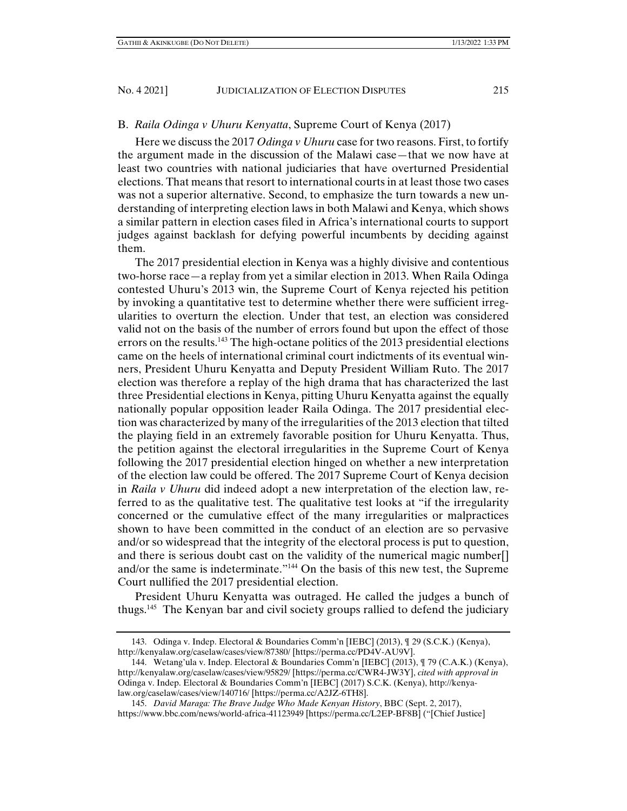## B. *Raila Odinga v Uhuru Kenyatta*, Supreme Court of Kenya (2017)

Here we discuss the 2017 *Odinga v Uhuru* case for two reasons. First, to fortify the argument made in the discussion of the Malawi case—that we now have at least two countries with national judiciaries that have overturned Presidential elections. That means that resort to international courts in at least those two cases was not a superior alternative. Second, to emphasize the turn towards a new understanding of interpreting election laws in both Malawi and Kenya, which shows a similar pattern in election cases filed in Africa's international courts to support judges against backlash for defying powerful incumbents by deciding against them.

The 2017 presidential election in Kenya was a highly divisive and contentious two-horse race—a replay from yet a similar election in 2013. When Raila Odinga contested Uhuru's 2013 win, the Supreme Court of Kenya rejected his petition by invoking a quantitative test to determine whether there were sufficient irregularities to overturn the election. Under that test, an election was considered valid not on the basis of the number of errors found but upon the effect of those errors on the results.<sup>143</sup> The high-octane politics of the 2013 presidential elections came on the heels of international criminal court indictments of its eventual winners, President Uhuru Kenyatta and Deputy President William Ruto. The 2017 election was therefore a replay of the high drama that has characterized the last three Presidential elections in Kenya, pitting Uhuru Kenyatta against the equally nationally popular opposition leader Raila Odinga. The 2017 presidential election was characterized by many of the irregularities of the 2013 election that tilted the playing field in an extremely favorable position for Uhuru Kenyatta. Thus, the petition against the electoral irregularities in the Supreme Court of Kenya following the 2017 presidential election hinged on whether a new interpretation of the election law could be offered. The 2017 Supreme Court of Kenya decision in *Raila v Uhuru* did indeed adopt a new interpretation of the election law, referred to as the qualitative test. The qualitative test looks at "if the irregularity concerned or the cumulative effect of the many irregularities or malpractices shown to have been committed in the conduct of an election are so pervasive and/or so widespread that the integrity of the electoral process is put to question, and there is serious doubt cast on the validity of the numerical magic number[] and/or the same is indeterminate."144 On the basis of this new test, the Supreme Court nullified the 2017 presidential election.

President Uhuru Kenyatta was outraged. He called the judges a bunch of thugs.145 The Kenyan bar and civil society groups rallied to defend the judiciary

 <sup>143.</sup> Odinga v. Indep. Electoral & Boundaries Comm'n [IEBC] (2013), ¶ 29 (S.C.K.) (Kenya), http://kenyalaw.org/caselaw/cases/view/87380/ [https://perma.cc/PD4V-AU9V].

 <sup>144.</sup> Wetang'ula v. Indep. Electoral & Boundaries Comm'n [IEBC] (2013), ¶ 79 (C.A.K.) (Kenya), http://kenyalaw.org/caselaw/cases/view/95829/ [https://perma.cc/CWR4-JW3Y], *cited with approval in* Odinga v. Indep. Electoral & Boundaries Comm'n [IEBC] (2017) S.C.K. (Kenya), http://kenyalaw.org/caselaw/cases/view/140716/ [https://perma.cc/A2JZ-6TH8].

 <sup>145.</sup> *David Maraga: The Brave Judge Who Made Kenyan History*, BBC (Sept. 2, 2017), https://www.bbc.com/news/world-africa-41123949 [https://perma.cc/L2EP-BF8B] ("[Chief Justice]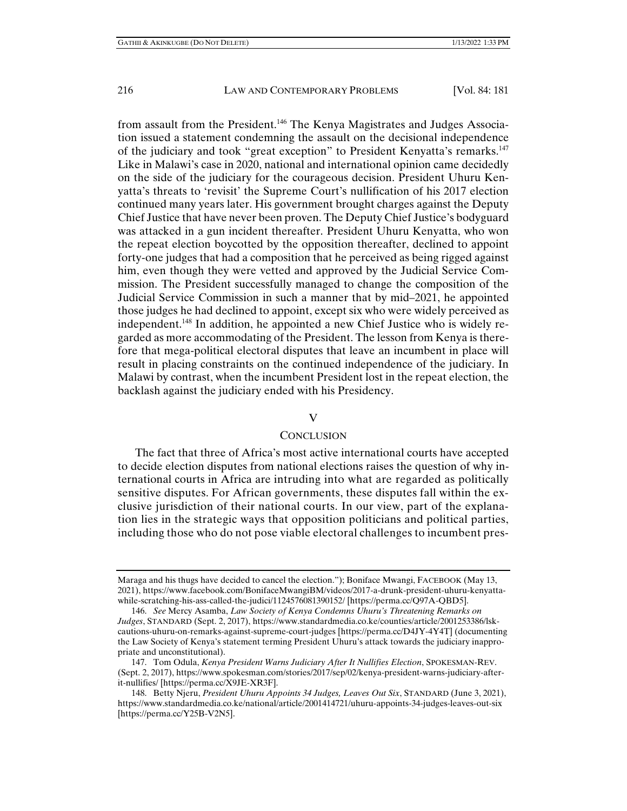from assault from the President.<sup>146</sup> The Kenya Magistrates and Judges Association issued a statement condemning the assault on the decisional independence of the judiciary and took "great exception" to President Kenyatta's remarks.<sup>147</sup> Like in Malawi's case in 2020, national and international opinion came decidedly on the side of the judiciary for the courageous decision. President Uhuru Kenyatta's threats to 'revisit' the Supreme Court's nullification of his 2017 election continued many years later. His government brought charges against the Deputy Chief Justice that have never been proven. The Deputy Chief Justice's bodyguard was attacked in a gun incident thereafter. President Uhuru Kenyatta, who won the repeat election boycotted by the opposition thereafter, declined to appoint forty-one judges that had a composition that he perceived as being rigged against him, even though they were vetted and approved by the Judicial Service Commission. The President successfully managed to change the composition of the Judicial Service Commission in such a manner that by mid–2021, he appointed those judges he had declined to appoint, except six who were widely perceived as independent.148 In addition, he appointed a new Chief Justice who is widely regarded as more accommodating of the President. The lesson from Kenya is therefore that mega-political electoral disputes that leave an incumbent in place will result in placing constraints on the continued independence of the judiciary. In Malawi by contrast, when the incumbent President lost in the repeat election, the backlash against the judiciary ended with his Presidency.

### $\overline{V}$

#### **CONCLUSION**

The fact that three of Africa's most active international courts have accepted to decide election disputes from national elections raises the question of why international courts in Africa are intruding into what are regarded as politically sensitive disputes. For African governments, these disputes fall within the exclusive jurisdiction of their national courts. In our view, part of the explanation lies in the strategic ways that opposition politicians and political parties, including those who do not pose viable electoral challenges to incumbent pres-

Maraga and his thugs have decided to cancel the election."); Boniface Mwangi, FACEBOOK (May 13, 2021), https://www.facebook.com/BonifaceMwangiBM/videos/2017-a-drunk-president-uhuru-kenyattawhile-scratching-his-ass-called-the-judici/1124576081390152/ [https://perma.cc/Q97A-QBD5].

 <sup>146.</sup> *See* Mercy Asamba, *Law Society of Kenya Condemns Uhuru's Threatening Remarks on Judges*, STANDARD (Sept. 2, 2017), https://www.standardmedia.co.ke/counties/article/2001253386/lskcautions-uhuru-on-remarks-against-supreme-court-judges [https://perma.cc/D4JY-4Y4T] (documenting the Law Society of Kenya's statement terming President Uhuru's attack towards the judiciary inappropriate and unconstitutional).

 <sup>147.</sup> Tom Odula, *Kenya President Warns Judiciary After It Nullifies Election*, SPOKESMAN-REV. (Sept. 2, 2017), https://www.spokesman.com/stories/2017/sep/02/kenya-president-warns-judiciary-afterit-nullifies/ [https://perma.cc/X9JE-XR3F].

 <sup>148.</sup> Betty Njeru, *President Uhuru Appoints 34 Judges, Leaves Out Six*, STANDARD (June 3, 2021), https://www.standardmedia.co.ke/national/article/2001414721/uhuru-appoints-34-judges-leaves-out-six [https://perma.cc/Y25B-V2N5].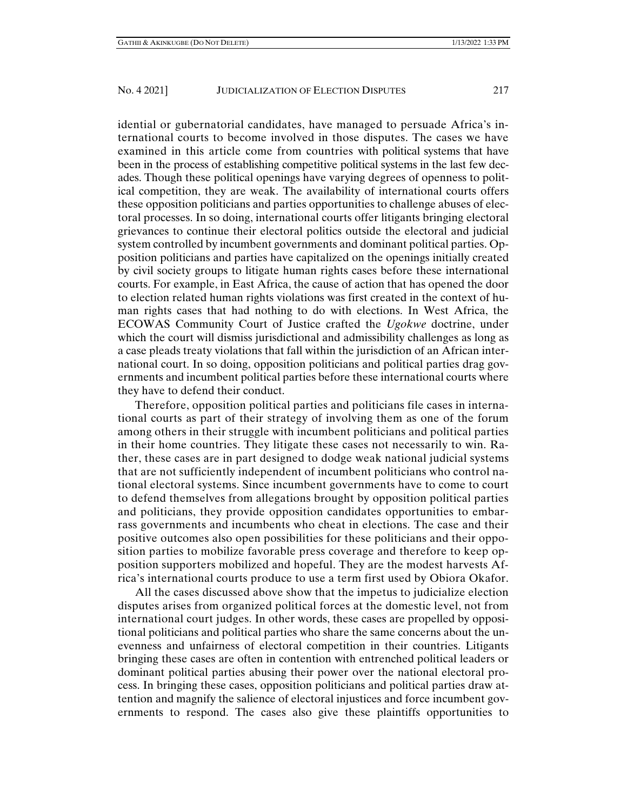idential or gubernatorial candidates, have managed to persuade Africa's international courts to become involved in those disputes. The cases we have examined in this article come from countries with political systems that have been in the process of establishing competitive political systems in the last few decades. Though these political openings have varying degrees of openness to political competition, they are weak. The availability of international courts offers these opposition politicians and parties opportunities to challenge abuses of electoral processes. In so doing, international courts offer litigants bringing electoral grievances to continue their electoral politics outside the electoral and judicial system controlled by incumbent governments and dominant political parties. Opposition politicians and parties have capitalized on the openings initially created by civil society groups to litigate human rights cases before these international courts. For example, in East Africa, the cause of action that has opened the door to election related human rights violations was first created in the context of human rights cases that had nothing to do with elections. In West Africa, the ECOWAS Community Court of Justice crafted the *Ugokwe* doctrine, under which the court will dismiss jurisdictional and admissibility challenges as long as a case pleads treaty violations that fall within the jurisdiction of an African international court. In so doing, opposition politicians and political parties drag governments and incumbent political parties before these international courts where they have to defend their conduct.

Therefore, opposition political parties and politicians file cases in international courts as part of their strategy of involving them as one of the forum among others in their struggle with incumbent politicians and political parties in their home countries. They litigate these cases not necessarily to win. Rather, these cases are in part designed to dodge weak national judicial systems that are not sufficiently independent of incumbent politicians who control national electoral systems. Since incumbent governments have to come to court to defend themselves from allegations brought by opposition political parties and politicians, they provide opposition candidates opportunities to embarrass governments and incumbents who cheat in elections. The case and their positive outcomes also open possibilities for these politicians and their opposition parties to mobilize favorable press coverage and therefore to keep opposition supporters mobilized and hopeful. They are the modest harvests Africa's international courts produce to use a term first used by Obiora Okafor.

All the cases discussed above show that the impetus to judicialize election disputes arises from organized political forces at the domestic level, not from international court judges. In other words, these cases are propelled by oppositional politicians and political parties who share the same concerns about the unevenness and unfairness of electoral competition in their countries. Litigants bringing these cases are often in contention with entrenched political leaders or dominant political parties abusing their power over the national electoral process. In bringing these cases, opposition politicians and political parties draw attention and magnify the salience of electoral injustices and force incumbent governments to respond. The cases also give these plaintiffs opportunities to